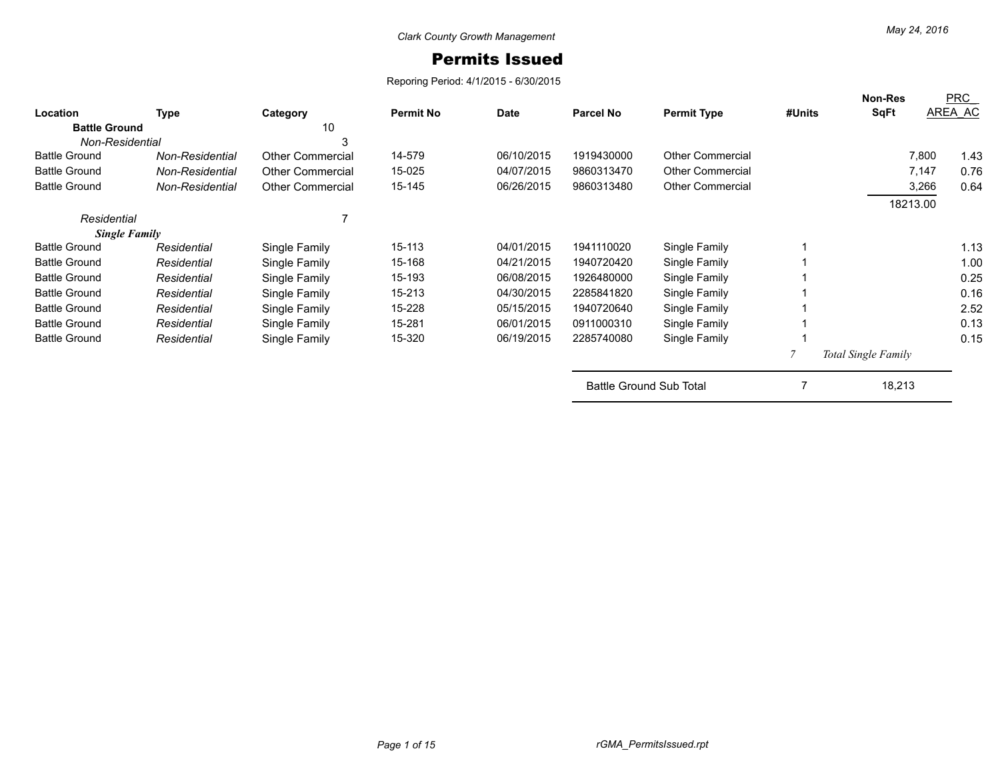## Permits Issued

Reporing Period: 4/1/2015 - 6/30/2015

| Location             | <b>Type</b>     | Category                | <b>Permit No</b> | <b>Date</b> | <b>Parcel No</b>               | <b>Permit Type</b>      | #Units | <b>Non-Res</b><br><b>SqFt</b> | PRC<br>AREA AC |
|----------------------|-----------------|-------------------------|------------------|-------------|--------------------------------|-------------------------|--------|-------------------------------|----------------|
| <b>Battle Ground</b> |                 | 10                      |                  |             |                                |                         |        |                               |                |
| Non-Residential      |                 | 3                       |                  |             |                                |                         |        |                               |                |
| <b>Battle Ground</b> | Non-Residential | <b>Other Commercial</b> | 14-579           | 06/10/2015  | 1919430000                     | <b>Other Commercial</b> |        | 7,800                         | 1.43           |
| <b>Battle Ground</b> | Non-Residential | <b>Other Commercial</b> | 15-025           | 04/07/2015  | 9860313470                     | <b>Other Commercial</b> |        | 7,147                         | 0.76           |
| <b>Battle Ground</b> | Non-Residential | <b>Other Commercial</b> | 15-145           | 06/26/2015  | 9860313480                     | <b>Other Commercial</b> |        | 3,266                         | 0.64           |
|                      |                 |                         |                  |             |                                |                         |        | 18213.00                      |                |
| Residential          |                 |                         |                  |             |                                |                         |        |                               |                |
| <b>Single Family</b> |                 |                         |                  |             |                                |                         |        |                               |                |
| <b>Battle Ground</b> | Residential     | Single Family           | 15-113           | 04/01/2015  | 1941110020                     | Single Family           |        |                               | 1.13           |
| <b>Battle Ground</b> | Residential     | Single Family           | 15-168           | 04/21/2015  | 1940720420                     | Single Family           |        |                               | 1.00           |
| <b>Battle Ground</b> | Residential     | Single Family           | 15-193           | 06/08/2015  | 1926480000                     | Single Family           |        |                               | 0.25           |
| <b>Battle Ground</b> | Residential     | Single Family           | 15-213           | 04/30/2015  | 2285841820                     | Single Family           |        |                               | 0.16           |
| <b>Battle Ground</b> | Residential     | Single Family           | 15-228           | 05/15/2015  | 1940720640                     | Single Family           |        |                               | 2.52           |
| <b>Battle Ground</b> | Residential     | Single Family           | 15-281           | 06/01/2015  | 0911000310                     | Single Family           |        |                               | 0.13           |
| <b>Battle Ground</b> | Residential     | Single Family           | 15-320           | 06/19/2015  | 2285740080                     | Single Family           |        |                               | 0.15           |
|                      |                 |                         |                  |             |                                |                         |        | <b>Total Single Family</b>    |                |
|                      |                 |                         |                  |             | <b>Battle Ground Sub Total</b> |                         |        | 18,213                        |                |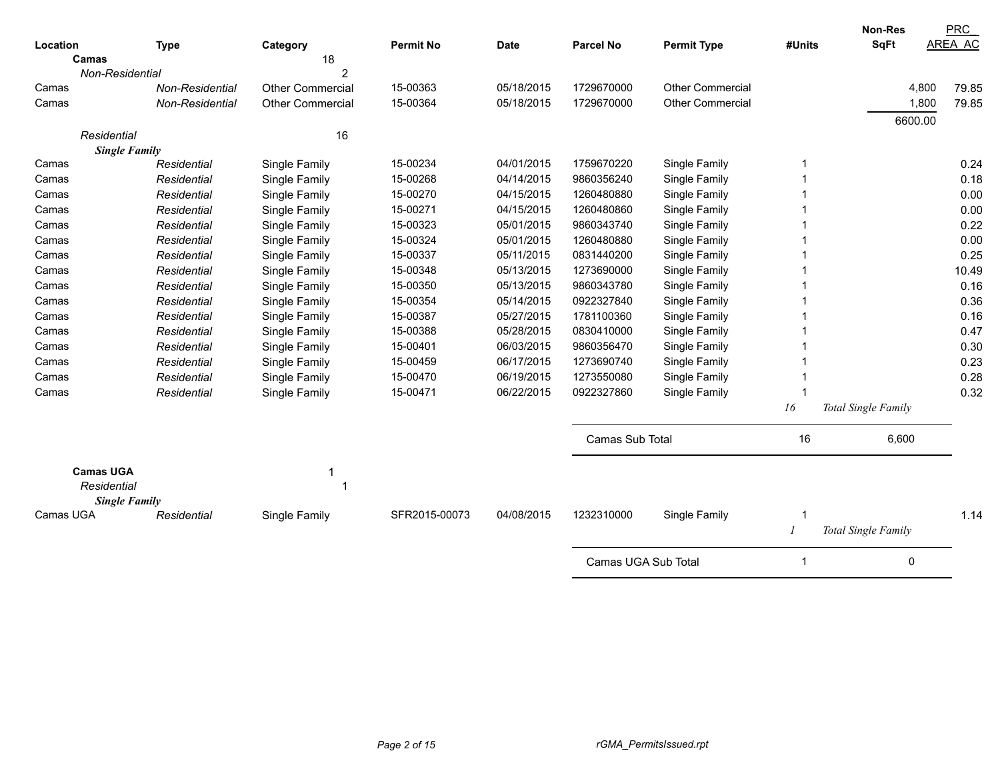|                      |                 |                         |                  |             |                     |                         |        | Non-Res             | <b>PRC</b> |
|----------------------|-----------------|-------------------------|------------------|-------------|---------------------|-------------------------|--------|---------------------|------------|
| Location             | <b>Type</b>     | Category                | <b>Permit No</b> | <b>Date</b> | <b>Parcel No</b>    | <b>Permit Type</b>      | #Units | <b>SqFt</b>         | AREA AC    |
| Camas                |                 | 18                      |                  |             |                     |                         |        |                     |            |
| Non-Residential      |                 | $\overline{2}$          |                  |             |                     |                         |        |                     |            |
| Camas                | Non-Residential | <b>Other Commercial</b> | 15-00363         | 05/18/2015  | 1729670000          | <b>Other Commercial</b> |        | 4,800               | 79.85      |
| Camas                | Non-Residential | <b>Other Commercial</b> | 15-00364         | 05/18/2015  | 1729670000          | <b>Other Commercial</b> |        | 1,800               | 79.85      |
|                      |                 |                         |                  |             |                     |                         |        | 6600.00             |            |
| Residential          |                 | 16                      |                  |             |                     |                         |        |                     |            |
| <b>Single Family</b> |                 |                         |                  |             |                     |                         |        |                     |            |
| Camas                | Residential     | Single Family           | 15-00234         | 04/01/2015  | 1759670220          | Single Family           | 1      |                     | 0.24       |
| Camas                | Residential     | Single Family           | 15-00268         | 04/14/2015  | 9860356240          | Single Family           |        |                     | 0.18       |
| Camas                | Residential     | Single Family           | 15-00270         | 04/15/2015  | 1260480880          | Single Family           |        |                     | 0.00       |
| Camas                | Residential     | Single Family           | 15-00271         | 04/15/2015  | 1260480860          | Single Family           |        |                     | 0.00       |
| Camas                | Residential     | Single Family           | 15-00323         | 05/01/2015  | 9860343740          | Single Family           |        |                     | 0.22       |
| Camas                | Residential     | Single Family           | 15-00324         | 05/01/2015  | 1260480880          | Single Family           |        |                     | 0.00       |
| Camas                | Residential     | Single Family           | 15-00337         | 05/11/2015  | 0831440200          | Single Family           |        |                     | 0.25       |
| Camas                | Residential     | Single Family           | 15-00348         | 05/13/2015  | 1273690000          | Single Family           |        |                     | 10.49      |
| Camas                | Residential     | Single Family           | 15-00350         | 05/13/2015  | 9860343780          | Single Family           |        |                     | 0.16       |
| Camas                | Residential     | Single Family           | 15-00354         | 05/14/2015  | 0922327840          | Single Family           |        |                     | 0.36       |
| Camas                | Residential     | Single Family           | 15-00387         | 05/27/2015  | 1781100360          | Single Family           |        |                     | 0.16       |
| Camas                | Residential     | Single Family           | 15-00388         | 05/28/2015  | 0830410000          | Single Family           |        |                     | 0.47       |
| Camas                | Residential     | Single Family           | 15-00401         | 06/03/2015  | 9860356470          | Single Family           |        |                     | 0.30       |
| Camas                | Residential     | Single Family           | 15-00459         | 06/17/2015  | 1273690740          | Single Family           |        |                     | 0.23       |
| Camas                | Residential     | Single Family           | 15-00470         | 06/19/2015  | 1273550080          | Single Family           |        |                     | 0.28       |
| Camas                | Residential     | Single Family           | 15-00471         | 06/22/2015  | 0922327860          | Single Family           | -1     |                     | 0.32       |
|                      |                 |                         |                  |             |                     |                         | 16     | Total Single Family |            |
|                      |                 |                         |                  |             | Camas Sub Total     |                         | 16     | 6,600               |            |
| <b>Camas UGA</b>     |                 |                         |                  |             |                     |                         |        |                     |            |
| Residential          |                 | $\overline{\mathbf{1}}$ |                  |             |                     |                         |        |                     |            |
| <b>Single Family</b> |                 |                         |                  |             |                     |                         |        |                     |            |
| Camas UGA            | Residential     | Single Family           | SFR2015-00073    | 04/08/2015  | 1232310000          | Single Family           | f.     |                     | 1.14       |
|                      |                 |                         |                  |             |                     |                         |        | Total Single Family |            |
|                      |                 |                         |                  |             | Camas UGA Sub Total |                         | 1      | 0                   |            |
|                      |                 |                         |                  |             |                     |                         |        |                     |            |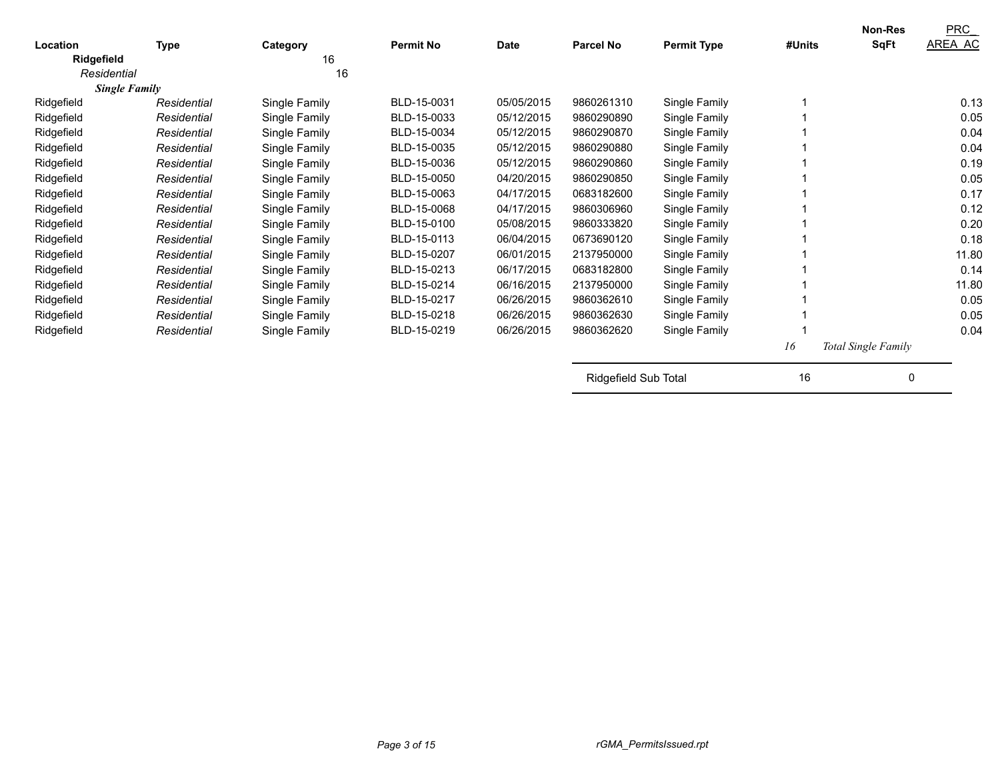| Location    | <b>Type</b>          | Category      | <b>Permit No</b> | <b>Date</b> | <b>Parcel No</b>     | <b>Permit Type</b> | #Units | <b>Non-Res</b><br><b>SqFt</b> | <b>PRC</b><br>AREA AC |
|-------------|----------------------|---------------|------------------|-------------|----------------------|--------------------|--------|-------------------------------|-----------------------|
| Ridgefield  |                      | 16            |                  |             |                      |                    |        |                               |                       |
| Residential |                      | 16            |                  |             |                      |                    |        |                               |                       |
|             | <b>Single Family</b> |               |                  |             |                      |                    |        |                               |                       |
| Ridgefield  | Residential          | Single Family | BLD-15-0031      | 05/05/2015  | 9860261310           | Single Family      |        |                               | 0.13                  |
| Ridgefield  | Residential          | Single Family | BLD-15-0033      | 05/12/2015  | 9860290890           | Single Family      |        |                               | 0.05                  |
| Ridgefield  | Residential          | Single Family | BLD-15-0034      | 05/12/2015  | 9860290870           | Single Family      |        |                               | 0.04                  |
| Ridgefield  | Residential          | Single Family | BLD-15-0035      | 05/12/2015  | 9860290880           | Single Family      |        |                               | 0.04                  |
| Ridgefield  | Residential          | Single Family | BLD-15-0036      | 05/12/2015  | 9860290860           | Single Family      |        |                               | 0.19                  |
| Ridgefield  | Residential          | Single Family | BLD-15-0050      | 04/20/2015  | 9860290850           | Single Family      |        |                               | 0.05                  |
| Ridgefield  | Residential          | Single Family | BLD-15-0063      | 04/17/2015  | 0683182600           | Single Family      |        |                               | 0.17                  |
| Ridgefield  | Residential          | Single Family | BLD-15-0068      | 04/17/2015  | 9860306960           | Single Family      |        |                               | 0.12                  |
| Ridgefield  | Residential          | Single Family | BLD-15-0100      | 05/08/2015  | 9860333820           | Single Family      |        |                               | 0.20                  |
| Ridgefield  | Residential          | Single Family | BLD-15-0113      | 06/04/2015  | 0673690120           | Single Family      |        |                               | 0.18                  |
| Ridgefield  | Residential          | Single Family | BLD-15-0207      | 06/01/2015  | 2137950000           | Single Family      |        |                               | 11.80                 |
| Ridgefield  | Residential          | Single Family | BLD-15-0213      | 06/17/2015  | 0683182800           | Single Family      |        |                               | 0.14                  |
| Ridgefield  | Residential          | Single Family | BLD-15-0214      | 06/16/2015  | 2137950000           | Single Family      |        |                               | 11.80                 |
| Ridgefield  | Residential          | Single Family | BLD-15-0217      | 06/26/2015  | 9860362610           | Single Family      |        |                               | 0.05                  |
| Ridgefield  | Residential          | Single Family | BLD-15-0218      | 06/26/2015  | 9860362630           | Single Family      |        |                               | 0.05                  |
| Ridgefield  | Residential          | Single Family | BLD-15-0219      | 06/26/2015  | 9860362620           | Single Family      |        |                               | 0.04                  |
|             |                      |               |                  |             |                      |                    | 16     | Total Single Family           |                       |
|             |                      |               |                  |             | Ridgefield Sub Total |                    | 16     | 0                             |                       |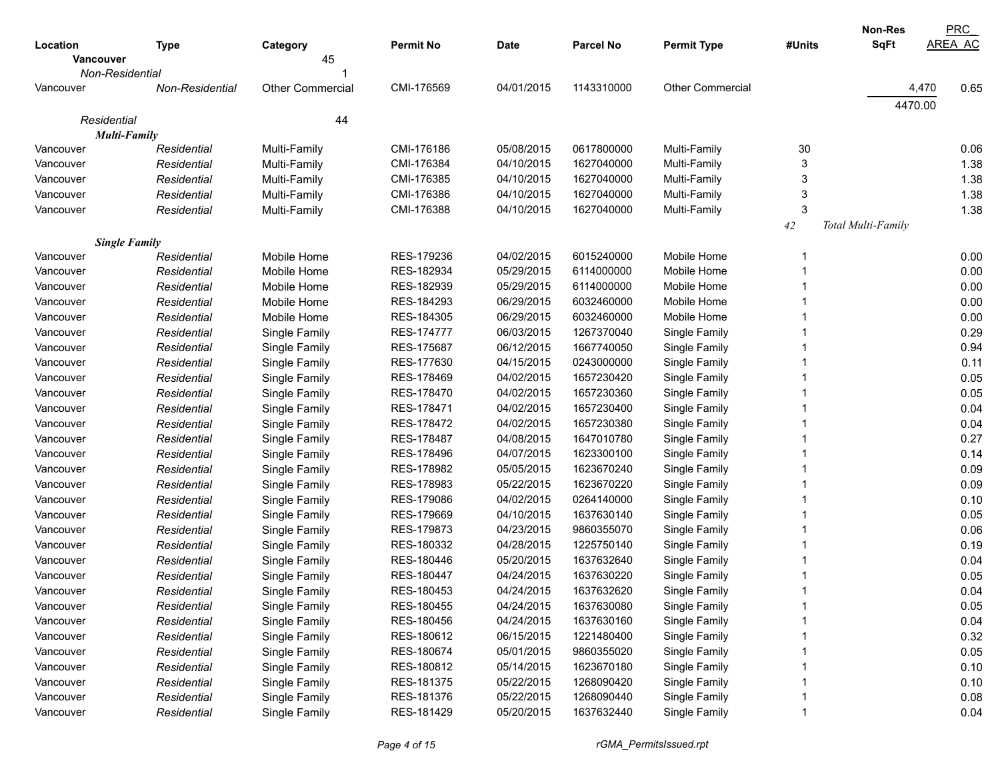|                      |                 |                         |                  |             |                  |                         |        | <b>Non-Res</b>     | <b>PRC</b>     |
|----------------------|-----------------|-------------------------|------------------|-------------|------------------|-------------------------|--------|--------------------|----------------|
| Location             | Type            | Category                | <b>Permit No</b> | <b>Date</b> | <b>Parcel No</b> | <b>Permit Type</b>      | #Units | <b>SqFt</b>        | <b>AREA AC</b> |
| <b>Vancouver</b>     |                 | 45                      |                  |             |                  |                         |        |                    |                |
| Non-Residential      |                 |                         |                  |             |                  |                         |        |                    |                |
| Vancouver            | Non-Residential | <b>Other Commercial</b> | CMI-176569       | 04/01/2015  | 1143310000       | <b>Other Commercial</b> |        |                    | 0.65<br>4,470  |
|                      |                 |                         |                  |             |                  |                         |        | 4470.00            |                |
| Residential          |                 | 44                      |                  |             |                  |                         |        |                    |                |
| <b>Multi-Family</b>  |                 |                         |                  |             |                  |                         |        |                    |                |
| Vancouver            | Residential     | Multi-Family            | CMI-176186       | 05/08/2015  | 0617800000       | Multi-Family            | 30     |                    | 0.06           |
| Vancouver            | Residential     | Multi-Family            | CMI-176384       | 04/10/2015  | 1627040000       | Multi-Family            | 3      |                    | 1.38           |
| Vancouver            | Residential     | Multi-Family            | CMI-176385       | 04/10/2015  | 1627040000       | Multi-Family            | 3      |                    | 1.38           |
| Vancouver            | Residential     | Multi-Family            | CMI-176386       | 04/10/2015  | 1627040000       | Multi-Family            | 3      |                    | 1.38           |
| Vancouver            | Residential     | Multi-Family            | CMI-176388       | 04/10/2015  | 1627040000       | Multi-Family            | 3      |                    | 1.38           |
|                      |                 |                         |                  |             |                  |                         | 42     | Total Multi-Family |                |
| <b>Single Family</b> |                 |                         |                  |             |                  |                         |        |                    |                |
| Vancouver            | Residential     | Mobile Home             | RES-179236       | 04/02/2015  | 6015240000       | Mobile Home             |        |                    | 0.00           |
| Vancouver            | Residential     | Mobile Home             | RES-182934       | 05/29/2015  | 6114000000       | Mobile Home             |        |                    | 0.00           |
| Vancouver            | Residential     | Mobile Home             | RES-182939       | 05/29/2015  | 6114000000       | Mobile Home             |        |                    | 0.00           |
| Vancouver            | Residential     | Mobile Home             | RES-184293       | 06/29/2015  | 6032460000       | Mobile Home             |        |                    | 0.00           |
| Vancouver            | Residential     | Mobile Home             | RES-184305       | 06/29/2015  | 6032460000       | Mobile Home             |        |                    | 0.00           |
| Vancouver            | Residential     | Single Family           | RES-174777       | 06/03/2015  | 1267370040       | Single Family           |        |                    | 0.29           |
| Vancouver            | Residential     | Single Family           | RES-175687       | 06/12/2015  | 1667740050       | Single Family           |        |                    | 0.94           |
| Vancouver            | Residential     | Single Family           | RES-177630       | 04/15/2015  | 0243000000       | Single Family           |        |                    | 0.11           |
| Vancouver            | Residential     | Single Family           | RES-178469       | 04/02/2015  | 1657230420       | Single Family           |        |                    | 0.05           |
| Vancouver            | Residential     | Single Family           | RES-178470       | 04/02/2015  | 1657230360       | Single Family           |        |                    | 0.05           |
| Vancouver            | Residential     | Single Family           | RES-178471       | 04/02/2015  | 1657230400       | Single Family           |        |                    | 0.04           |
| Vancouver            | Residential     | Single Family           | RES-178472       | 04/02/2015  | 1657230380       | Single Family           |        |                    | 0.04           |
| Vancouver            | Residential     | Single Family           | RES-178487       | 04/08/2015  | 1647010780       | Single Family           |        |                    | 0.27           |
| Vancouver            | Residential     | Single Family           | RES-178496       | 04/07/2015  | 1623300100       | Single Family           |        |                    | 0.14           |
| Vancouver            | Residential     | Single Family           | RES-178982       | 05/05/2015  | 1623670240       | Single Family           |        |                    | 0.09           |
| Vancouver            | Residential     | Single Family           | RES-178983       | 05/22/2015  | 1623670220       | Single Family           |        |                    | 0.09           |
| Vancouver            | Residential     | Single Family           | RES-179086       | 04/02/2015  | 0264140000       | Single Family           |        |                    | 0.10           |
| Vancouver            | Residential     | Single Family           | RES-179669       | 04/10/2015  | 1637630140       | Single Family           |        |                    | 0.05           |
| Vancouver            | Residential     | Single Family           | RES-179873       | 04/23/2015  | 9860355070       | Single Family           |        |                    | 0.06           |
| Vancouver            | Residential     | Single Family           | RES-180332       | 04/28/2015  | 1225750140       | Single Family           |        |                    | 0.19           |
| Vancouver            | Residential     | Single Family           | RES-180446       | 05/20/2015  | 1637632640       | Single Family           |        |                    | 0.04           |
| Vancouver            | Residential     | Single Family           | RES-180447       | 04/24/2015  | 1637630220       | Single Family           |        |                    | 0.05           |
| Vancouver            | Residential     | Single Family           | RES-180453       | 04/24/2015  | 1637632620       | Single Family           |        |                    | 0.04           |
| Vancouver            | Residential     | Single Family           | RES-180455       | 04/24/2015  | 1637630080       | Single Family           |        |                    | 0.05           |
| Vancouver            | Residential     | Single Family           | RES-180456       | 04/24/2015  | 1637630160       | Single Family           |        |                    | 0.04           |
| Vancouver            | Residential     | Single Family           | RES-180612       | 06/15/2015  | 1221480400       | Single Family           |        |                    | 0.32           |
| Vancouver            | Residential     | Single Family           | RES-180674       | 05/01/2015  | 9860355020       | Single Family           |        |                    | 0.05           |
| Vancouver            | Residential     | Single Family           | RES-180812       | 05/14/2015  | 1623670180       | Single Family           |        |                    | 0.10           |
| Vancouver            | Residential     | Single Family           | RES-181375       | 05/22/2015  | 1268090420       | Single Family           |        |                    | 0.10           |
| Vancouver            | Residential     | Single Family           | RES-181376       | 05/22/2015  | 1268090440       | Single Family           |        |                    | 0.08           |
| Vancouver            | Residential     | Single Family           | RES-181429       | 05/20/2015  | 1637632440       | Single Family           |        |                    | 0.04           |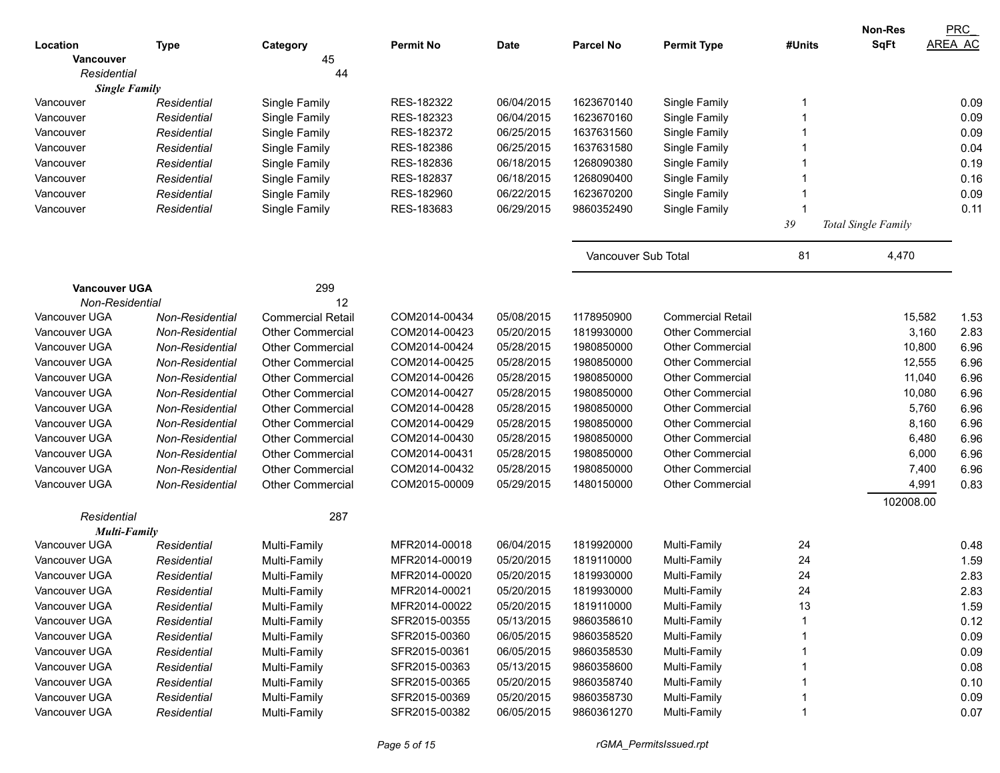|                        |                 |                          |                          |            |                     |                                |        | Non-Res             | <b>PRC</b>    |
|------------------------|-----------------|--------------------------|--------------------------|------------|---------------------|--------------------------------|--------|---------------------|---------------|
| Location               | <b>Type</b>     | Category                 | <b>Permit No</b>         | Date       | <b>Parcel No</b>    | <b>Permit Type</b>             | #Units | <b>SqFt</b>         | AREA AC       |
| Vancouver              |                 | 45                       |                          |            |                     |                                |        |                     |               |
| Residential            |                 | 44                       |                          |            |                     |                                |        |                     |               |
| <b>Single Family</b>   |                 |                          | RES-182322               | 06/04/2015 | 1623670140          |                                |        |                     | 0.09          |
| Vancouver<br>Vancouver | Residential     | Single Family            | RES-182323               | 06/04/2015 | 1623670160          | Single Family<br>Single Family |        |                     | 0.09          |
|                        | Residential     | Single Family            | RES-182372               | 06/25/2015 | 1637631560          |                                |        |                     | 0.09          |
| Vancouver              | Residential     | Single Family            | RES-182386               | 06/25/2015 | 1637631580          | Single Family                  |        |                     | 0.04          |
| Vancouver              | Residential     | Single Family            |                          | 06/18/2015 | 1268090380          | Single Family                  |        |                     | 0.19          |
| Vancouver              | Residential     | Single Family            | RES-182836               | 06/18/2015 | 1268090400          | Single Family                  |        |                     | 0.16          |
| Vancouver              | Residential     | Single Family            | RES-182837<br>RES-182960 | 06/22/2015 | 1623670200          | Single Family                  |        |                     | 0.09          |
| Vancouver              | Residential     | Single Family            | RES-183683               | 06/29/2015 | 9860352490          | Single Family                  |        |                     |               |
| Vancouver              | Residential     | Single Family            |                          |            |                     | Single Family                  |        |                     | 0.11          |
|                        |                 |                          |                          |            |                     |                                | 39     | Total Single Family |               |
|                        |                 |                          |                          |            | Vancouver Sub Total |                                | 81     | 4,470               |               |
| <b>Vancouver UGA</b>   |                 | 299                      |                          |            |                     |                                |        |                     |               |
| Non-Residential        |                 | 12                       |                          |            |                     |                                |        |                     |               |
| Vancouver UGA          | Non-Residential | <b>Commercial Retail</b> | COM2014-00434            | 05/08/2015 | 1178950900          | <b>Commercial Retail</b>       |        | 15,582              | 1.53          |
| Vancouver UGA          | Non-Residential | <b>Other Commercial</b>  | COM2014-00423            | 05/20/2015 | 1819930000          | <b>Other Commercial</b>        |        |                     | 3,160<br>2.83 |
| Vancouver UGA          | Non-Residential | <b>Other Commercial</b>  | COM2014-00424            | 05/28/2015 | 1980850000          | <b>Other Commercial</b>        |        | 10,800              | 6.96          |
| Vancouver UGA          | Non-Residential | <b>Other Commercial</b>  | COM2014-00425            | 05/28/2015 | 1980850000          | <b>Other Commercial</b>        |        | 12,555              | 6.96          |
| Vancouver UGA          | Non-Residential | <b>Other Commercial</b>  | COM2014-00426            | 05/28/2015 | 1980850000          | <b>Other Commercial</b>        |        | 11,040              | 6.96          |
| Vancouver UGA          | Non-Residential | <b>Other Commercial</b>  | COM2014-00427            | 05/28/2015 | 1980850000          | <b>Other Commercial</b>        |        | 10,080              | 6.96          |
| Vancouver UGA          | Non-Residential | <b>Other Commercial</b>  | COM2014-00428            | 05/28/2015 | 1980850000          | <b>Other Commercial</b>        |        |                     | 5,760<br>6.96 |
| Vancouver UGA          | Non-Residential | <b>Other Commercial</b>  | COM2014-00429            | 05/28/2015 | 1980850000          | <b>Other Commercial</b>        |        |                     | 8,160<br>6.96 |
| Vancouver UGA          | Non-Residential | <b>Other Commercial</b>  | COM2014-00430            | 05/28/2015 | 1980850000          | <b>Other Commercial</b>        |        |                     | 6,480<br>6.96 |
| Vancouver UGA          | Non-Residential | Other Commercial         | COM2014-00431            | 05/28/2015 | 1980850000          | <b>Other Commercial</b>        |        |                     | 6,000<br>6.96 |
| Vancouver UGA          | Non-Residential | <b>Other Commercial</b>  | COM2014-00432            | 05/28/2015 | 1980850000          | <b>Other Commercial</b>        |        |                     | 6.96<br>7,400 |
| Vancouver UGA          | Non-Residential | <b>Other Commercial</b>  | COM2015-00009            | 05/29/2015 | 1480150000          | <b>Other Commercial</b>        |        |                     | 0.83<br>4,991 |
|                        |                 |                          |                          |            |                     |                                |        | 102008.00           |               |
| Residential            |                 | 287                      |                          |            |                     |                                |        |                     |               |
| <b>Multi-Family</b>    |                 |                          |                          |            |                     |                                |        |                     |               |
| Vancouver UGA          | Residential     | Multi-Family             | MFR2014-00018            | 06/04/2015 | 1819920000          | Multi-Family                   | 24     |                     | 0.48          |
| Vancouver UGA          | Residential     | Multi-Family             | MFR2014-00019            | 05/20/2015 | 1819110000          | Multi-Family                   | 24     |                     | 1.59          |
| Vancouver UGA          | Residential     | Multi-Family             | MFR2014-00020            | 05/20/2015 | 1819930000          | Multi-Family                   | 24     |                     | 2.83          |
| Vancouver UGA          | Residential     | Multi-Family             | MFR2014-00021            | 05/20/2015 | 1819930000          | Multi-Family                   | 24     |                     | 2.83          |
| Vancouver UGA          | Residential     | Multi-Family             | MFR2014-00022            | 05/20/2015 | 1819110000          | Multi-Family                   | 13     |                     | 1.59          |
| Vancouver UGA          | Residential     | Multi-Family             | SFR2015-00355            | 05/13/2015 | 9860358610          | Multi-Family                   |        |                     | 0.12          |
| Vancouver UGA          | Residential     | Multi-Family             | SFR2015-00360            | 06/05/2015 | 9860358520          | Multi-Family                   |        |                     | 0.09          |
| Vancouver UGA          | Residential     | Multi-Family             | SFR2015-00361            | 06/05/2015 | 9860358530          | Multi-Family                   |        |                     | 0.09          |
| Vancouver UGA          | Residential     | Multi-Family             | SFR2015-00363            | 05/13/2015 | 9860358600          | Multi-Family                   |        |                     | 0.08          |
| Vancouver UGA          | Residential     | Multi-Family             | SFR2015-00365            | 05/20/2015 | 9860358740          | Multi-Family                   |        |                     | 0.10          |
| Vancouver UGA          | Residential     | Multi-Family             | SFR2015-00369            | 05/20/2015 | 9860358730          | Multi-Family                   |        |                     | 0.09          |
| Vancouver UGA          | Residential     | Multi-Family             | SFR2015-00382            | 06/05/2015 | 9860361270          | Multi-Family                   |        |                     | 0.07          |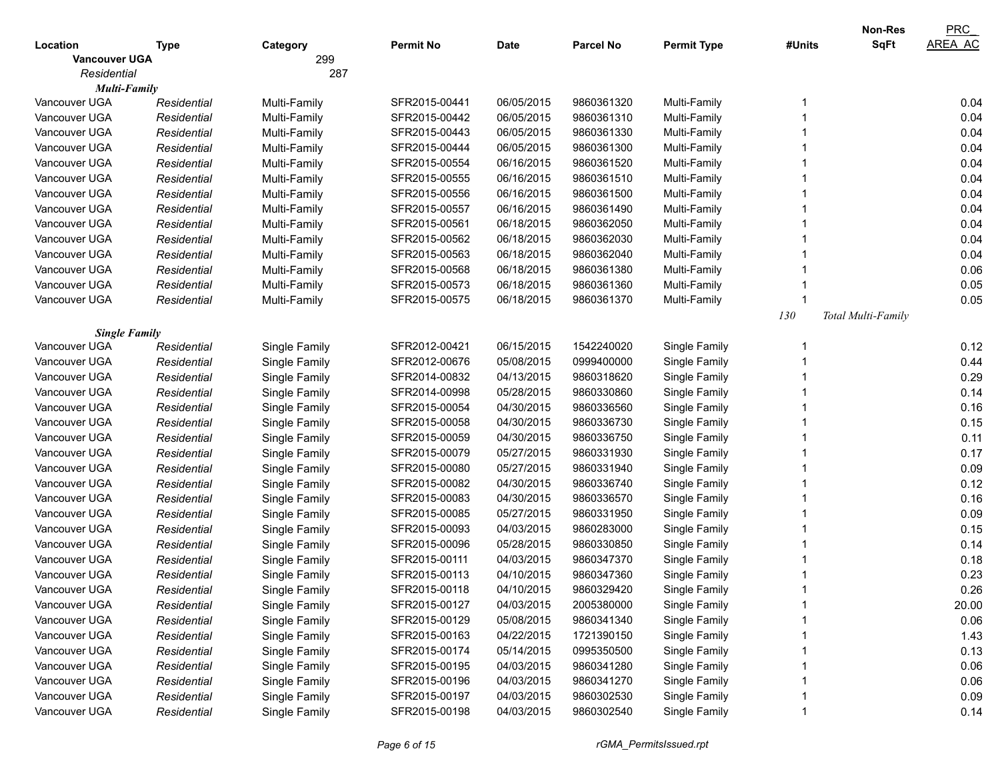|                      |             |               |                  |            |                  |                    |        | <b>Non-Res</b>     | PRC            |
|----------------------|-------------|---------------|------------------|------------|------------------|--------------------|--------|--------------------|----------------|
| Location             | Type        | Category      | <b>Permit No</b> | Date       | <b>Parcel No</b> | <b>Permit Type</b> | #Units | <b>SqFt</b>        | <b>AREA AC</b> |
| <b>Vancouver UGA</b> |             | 299           |                  |            |                  |                    |        |                    |                |
| Residential          |             | 287           |                  |            |                  |                    |        |                    |                |
| Multi-Family         |             |               |                  |            |                  |                    |        |                    |                |
| Vancouver UGA        | Residential | Multi-Family  | SFR2015-00441    | 06/05/2015 | 9860361320       | Multi-Family       |        |                    | 0.04           |
| Vancouver UGA        | Residential | Multi-Family  | SFR2015-00442    | 06/05/2015 | 9860361310       | Multi-Family       |        |                    | 0.04           |
| Vancouver UGA        | Residential | Multi-Family  | SFR2015-00443    | 06/05/2015 | 9860361330       | Multi-Family       |        |                    | 0.04           |
| Vancouver UGA        | Residential | Multi-Family  | SFR2015-00444    | 06/05/2015 | 9860361300       | Multi-Family       |        |                    | 0.04           |
| Vancouver UGA        | Residential | Multi-Family  | SFR2015-00554    | 06/16/2015 | 9860361520       | Multi-Family       |        |                    | 0.04           |
| Vancouver UGA        | Residential | Multi-Family  | SFR2015-00555    | 06/16/2015 | 9860361510       | Multi-Family       |        |                    | 0.04           |
| Vancouver UGA        | Residential | Multi-Family  | SFR2015-00556    | 06/16/2015 | 9860361500       | Multi-Family       |        |                    | 0.04           |
| Vancouver UGA        | Residential | Multi-Family  | SFR2015-00557    | 06/16/2015 | 9860361490       | Multi-Family       |        |                    | 0.04           |
| Vancouver UGA        | Residential | Multi-Family  | SFR2015-00561    | 06/18/2015 | 9860362050       | Multi-Family       |        |                    | 0.04           |
| Vancouver UGA        | Residential | Multi-Family  | SFR2015-00562    | 06/18/2015 | 9860362030       | Multi-Family       |        |                    | 0.04           |
| Vancouver UGA        | Residential | Multi-Family  | SFR2015-00563    | 06/18/2015 | 9860362040       | Multi-Family       |        |                    | 0.04           |
| Vancouver UGA        | Residential | Multi-Family  | SFR2015-00568    | 06/18/2015 | 9860361380       | Multi-Family       |        |                    | 0.06           |
| Vancouver UGA        | Residential | Multi-Family  | SFR2015-00573    | 06/18/2015 | 9860361360       | Multi-Family       |        |                    | 0.05           |
| Vancouver UGA        | Residential | Multi-Family  | SFR2015-00575    | 06/18/2015 | 9860361370       | Multi-Family       |        |                    | 0.05           |
|                      |             |               |                  |            |                  |                    | 130    | Total Multi-Family |                |
| <b>Single Family</b> |             |               |                  |            |                  |                    |        |                    |                |
| Vancouver UGA        | Residential | Single Family | SFR2012-00421    | 06/15/2015 | 1542240020       | Single Family      |        |                    | 0.12           |
| Vancouver UGA        | Residential | Single Family | SFR2012-00676    | 05/08/2015 | 0999400000       | Single Family      |        |                    | 0.44           |
| Vancouver UGA        | Residential | Single Family | SFR2014-00832    | 04/13/2015 | 9860318620       | Single Family      |        |                    | 0.29           |
| Vancouver UGA        | Residential | Single Family | SFR2014-00998    | 05/28/2015 | 9860330860       | Single Family      |        |                    | 0.14           |
| Vancouver UGA        | Residential | Single Family | SFR2015-00054    | 04/30/2015 | 9860336560       | Single Family      |        |                    | 0.16           |
| Vancouver UGA        | Residential | Single Family | SFR2015-00058    | 04/30/2015 | 9860336730       | Single Family      |        |                    | 0.15           |
| Vancouver UGA        | Residential | Single Family | SFR2015-00059    | 04/30/2015 | 9860336750       | Single Family      |        |                    | 0.11           |
| Vancouver UGA        | Residential | Single Family | SFR2015-00079    | 05/27/2015 | 9860331930       | Single Family      |        |                    | 0.17           |
| Vancouver UGA        | Residential | Single Family | SFR2015-00080    | 05/27/2015 | 9860331940       | Single Family      |        |                    | 0.09           |
| Vancouver UGA        | Residential | Single Family | SFR2015-00082    | 04/30/2015 | 9860336740       | Single Family      |        |                    | 0.12           |
| Vancouver UGA        | Residential | Single Family | SFR2015-00083    | 04/30/2015 | 9860336570       | Single Family      |        |                    | 0.16           |
| Vancouver UGA        | Residential | Single Family | SFR2015-00085    | 05/27/2015 | 9860331950       | Single Family      |        |                    | 0.09           |
| Vancouver UGA        | Residential | Single Family | SFR2015-00093    | 04/03/2015 | 9860283000       | Single Family      |        |                    | 0.15           |
| Vancouver UGA        | Residential | Single Family | SFR2015-00096    | 05/28/2015 | 9860330850       | Single Family      |        |                    | 0.14           |
| Vancouver UGA        | Residential | Single Family | SFR2015-00111    | 04/03/2015 | 9860347370       | Single Family      |        |                    | 0.18           |
| Vancouver UGA        | Residential | Single Family | SFR2015-00113    | 04/10/2015 | 9860347360       | Single Family      |        |                    | 0.23           |
| Vancouver UGA        | Residential | Single Family | SFR2015-00118    | 04/10/2015 | 9860329420       | Single Family      |        |                    | 0.26           |
| Vancouver UGA        | Residential | Single Family | SFR2015-00127    | 04/03/2015 | 2005380000       | Single Family      |        |                    | 20.00          |
| Vancouver UGA        | Residential | Single Family | SFR2015-00129    | 05/08/2015 | 9860341340       | Single Family      |        |                    | 0.06           |
| Vancouver UGA        | Residential | Single Family | SFR2015-00163    | 04/22/2015 | 1721390150       | Single Family      |        |                    | 1.43           |
| Vancouver UGA        | Residential | Single Family | SFR2015-00174    | 05/14/2015 | 0995350500       | Single Family      |        |                    | 0.13           |
| Vancouver UGA        | Residential | Single Family | SFR2015-00195    | 04/03/2015 | 9860341280       | Single Family      |        |                    | 0.06           |
| Vancouver UGA        | Residential | Single Family | SFR2015-00196    | 04/03/2015 | 9860341270       | Single Family      |        |                    | 0.06           |
| Vancouver UGA        | Residential | Single Family | SFR2015-00197    | 04/03/2015 | 9860302530       | Single Family      |        |                    | 0.09           |
| Vancouver UGA        | Residential | Single Family | SFR2015-00198    | 04/03/2015 | 9860302540       | Single Family      |        |                    | 0.14           |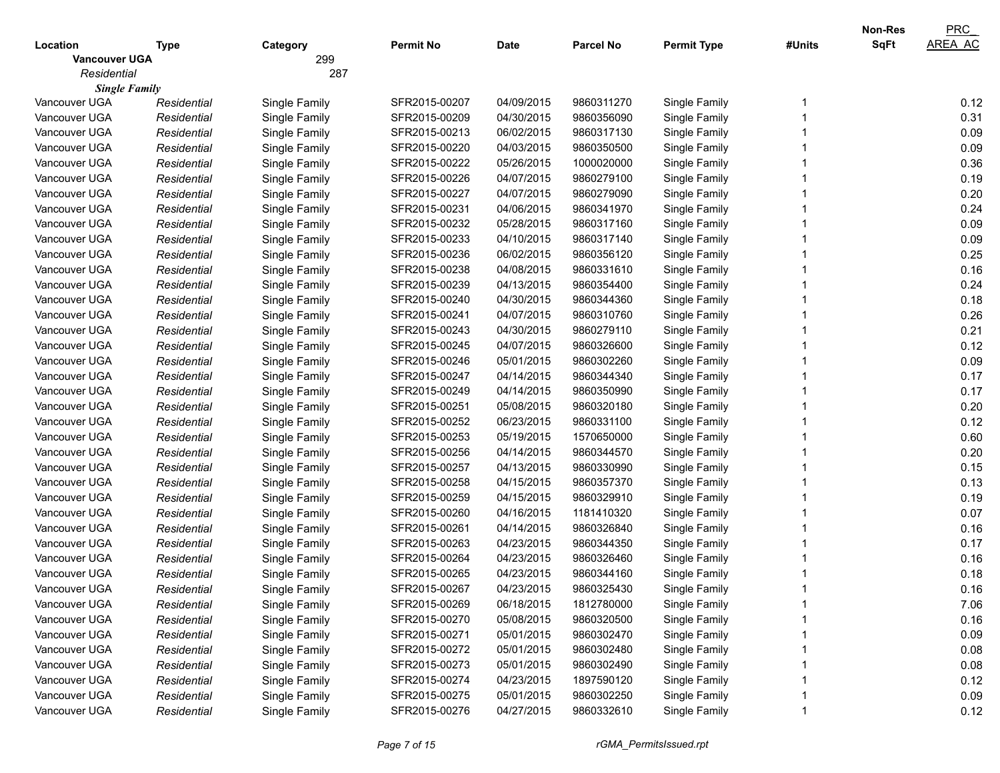|                      |             |               |                  |             |                  |                    |        | Non-Res     | PRC            |
|----------------------|-------------|---------------|------------------|-------------|------------------|--------------------|--------|-------------|----------------|
| Location             | <b>Type</b> | Category      | <b>Permit No</b> | <b>Date</b> | <b>Parcel No</b> | <b>Permit Type</b> | #Units | <b>SqFt</b> | <b>AREA AC</b> |
| <b>Vancouver UGA</b> |             | 299           |                  |             |                  |                    |        |             |                |
| Residential          |             | 287           |                  |             |                  |                    |        |             |                |
| <b>Single Family</b> |             |               |                  |             |                  |                    |        |             |                |
| Vancouver UGA        | Residential | Single Family | SFR2015-00207    | 04/09/2015  | 9860311270       | Single Family      |        |             | 0.12           |
| Vancouver UGA        | Residential | Single Family | SFR2015-00209    | 04/30/2015  | 9860356090       | Single Family      |        |             | 0.31           |
| Vancouver UGA        | Residential | Single Family | SFR2015-00213    | 06/02/2015  | 9860317130       | Single Family      |        |             | 0.09           |
| Vancouver UGA        | Residential | Single Family | SFR2015-00220    | 04/03/2015  | 9860350500       | Single Family      |        |             | 0.09           |
| Vancouver UGA        | Residential | Single Family | SFR2015-00222    | 05/26/2015  | 1000020000       | Single Family      |        |             | 0.36           |
| Vancouver UGA        | Residential | Single Family | SFR2015-00226    | 04/07/2015  | 9860279100       | Single Family      |        |             | 0.19           |
| Vancouver UGA        | Residential | Single Family | SFR2015-00227    | 04/07/2015  | 9860279090       | Single Family      |        |             | 0.20           |
| Vancouver UGA        | Residential | Single Family | SFR2015-00231    | 04/06/2015  | 9860341970       | Single Family      |        |             | 0.24           |
| Vancouver UGA        | Residential | Single Family | SFR2015-00232    | 05/28/2015  | 9860317160       | Single Family      |        |             | 0.09           |
| Vancouver UGA        | Residential | Single Family | SFR2015-00233    | 04/10/2015  | 9860317140       | Single Family      |        |             | 0.09           |
| Vancouver UGA        | Residential | Single Family | SFR2015-00236    | 06/02/2015  | 9860356120       | Single Family      |        |             | 0.25           |
| Vancouver UGA        | Residential | Single Family | SFR2015-00238    | 04/08/2015  | 9860331610       | Single Family      |        |             | 0.16           |
| Vancouver UGA        | Residential | Single Family | SFR2015-00239    | 04/13/2015  | 9860354400       | Single Family      |        |             | 0.24           |
| Vancouver UGA        | Residential | Single Family | SFR2015-00240    | 04/30/2015  | 9860344360       | Single Family      |        |             | 0.18           |
| Vancouver UGA        | Residential | Single Family | SFR2015-00241    | 04/07/2015  | 9860310760       | Single Family      |        |             | 0.26           |
| Vancouver UGA        | Residential | Single Family | SFR2015-00243    | 04/30/2015  | 9860279110       | Single Family      |        |             | 0.21           |
| Vancouver UGA        | Residential | Single Family | SFR2015-00245    | 04/07/2015  | 9860326600       | Single Family      |        |             | 0.12           |
| Vancouver UGA        | Residential | Single Family | SFR2015-00246    | 05/01/2015  | 9860302260       | Single Family      |        |             | 0.09           |
| Vancouver UGA        | Residential | Single Family | SFR2015-00247    | 04/14/2015  | 9860344340       | Single Family      |        |             | 0.17           |
| Vancouver UGA        | Residential | Single Family | SFR2015-00249    | 04/14/2015  | 9860350990       | Single Family      |        |             | 0.17           |
| Vancouver UGA        | Residential | Single Family | SFR2015-00251    | 05/08/2015  | 9860320180       | Single Family      |        |             | 0.20           |
| Vancouver UGA        | Residential | Single Family | SFR2015-00252    | 06/23/2015  | 9860331100       | Single Family      |        |             | 0.12           |
| Vancouver UGA        | Residential | Single Family | SFR2015-00253    | 05/19/2015  | 1570650000       | Single Family      |        |             | 0.60           |
| Vancouver UGA        | Residential | Single Family | SFR2015-00256    | 04/14/2015  | 9860344570       | Single Family      |        |             | 0.20           |
| Vancouver UGA        | Residential | Single Family | SFR2015-00257    | 04/13/2015  | 9860330990       | Single Family      |        |             | 0.15           |
| Vancouver UGA        | Residential | Single Family | SFR2015-00258    | 04/15/2015  | 9860357370       | Single Family      |        |             | 0.13           |
| Vancouver UGA        | Residential | Single Family | SFR2015-00259    | 04/15/2015  | 9860329910       | Single Family      |        |             | 0.19           |
| Vancouver UGA        | Residential | Single Family | SFR2015-00260    | 04/16/2015  | 1181410320       | Single Family      |        |             | 0.07           |
| Vancouver UGA        | Residential | Single Family | SFR2015-00261    | 04/14/2015  | 9860326840       | Single Family      |        |             | 0.16           |
| Vancouver UGA        | Residential | Single Family | SFR2015-00263    | 04/23/2015  | 9860344350       | Single Family      |        |             | 0.17           |
| Vancouver UGA        | Residential | Single Family | SFR2015-00264    | 04/23/2015  | 9860326460       | Single Family      |        |             | 0.16           |
| Vancouver UGA        | Residential | Single Family | SFR2015-00265    | 04/23/2015  | 9860344160       | Single Family      |        |             | 0.18           |
| Vancouver UGA        | Residential | Single Family | SFR2015-00267    | 04/23/2015  | 9860325430       | Single Family      |        |             | 0.16           |
| Vancouver UGA        | Residential | Single Family | SFR2015-00269    | 06/18/2015  | 1812780000       | Single Family      |        |             | 7.06           |
| Vancouver UGA        | Residential | Single Family | SFR2015-00270    | 05/08/2015  | 9860320500       | Single Family      |        |             | 0.16           |
| Vancouver UGA        | Residential | Single Family | SFR2015-00271    | 05/01/2015  | 9860302470       | Single Family      |        |             | 0.09           |
| Vancouver UGA        | Residential | Single Family | SFR2015-00272    | 05/01/2015  | 9860302480       | Single Family      |        |             | 0.08           |
| Vancouver UGA        | Residential | Single Family | SFR2015-00273    | 05/01/2015  | 9860302490       | Single Family      |        |             | 0.08           |
| Vancouver UGA        | Residential | Single Family | SFR2015-00274    | 04/23/2015  | 1897590120       | Single Family      |        |             | 0.12           |
| Vancouver UGA        | Residential | Single Family | SFR2015-00275    | 05/01/2015  | 9860302250       | Single Family      |        |             | 0.09           |
| Vancouver UGA        | Residential | Single Family | SFR2015-00276    | 04/27/2015  | 9860332610       | Single Family      |        |             | 0.12           |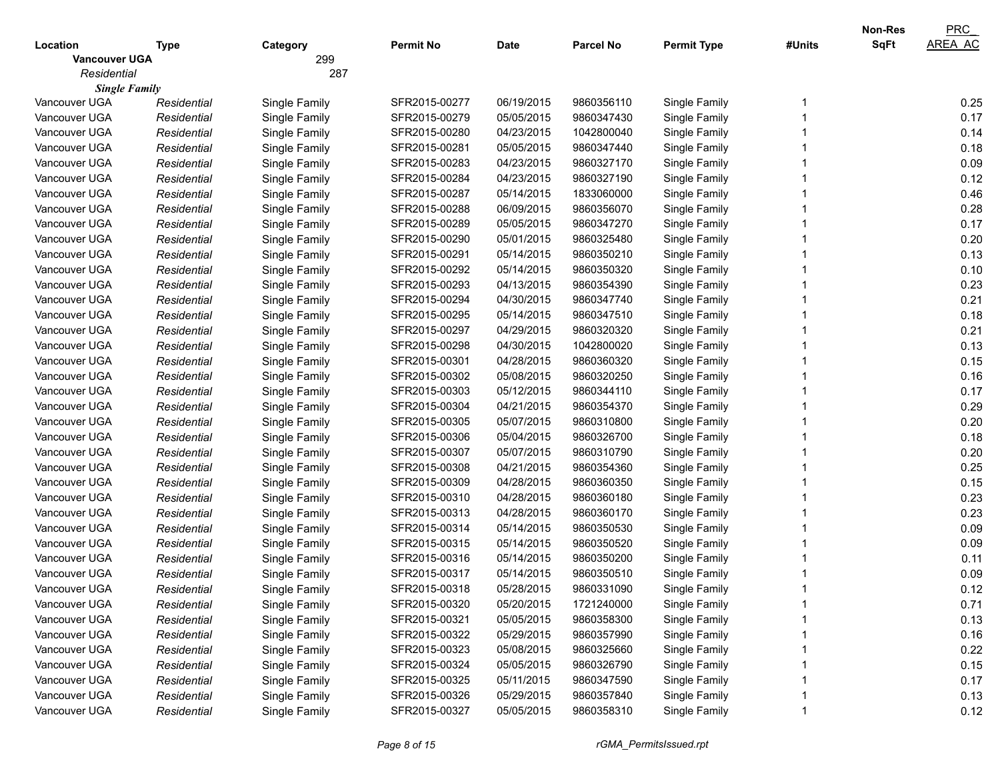|                      |             |               |                  |             |                  |                    |        | <b>Non-Res</b> | PRC            |
|----------------------|-------------|---------------|------------------|-------------|------------------|--------------------|--------|----------------|----------------|
| Location             | Type        | Category      | <b>Permit No</b> | <b>Date</b> | <b>Parcel No</b> | <b>Permit Type</b> | #Units | <b>SqFt</b>    | <b>AREA AC</b> |
| <b>Vancouver UGA</b> |             | 299           |                  |             |                  |                    |        |                |                |
| Residential          |             | 287           |                  |             |                  |                    |        |                |                |
| <b>Single Family</b> |             |               |                  |             |                  |                    |        |                |                |
| Vancouver UGA        | Residential | Single Family | SFR2015-00277    | 06/19/2015  | 9860356110       | Single Family      |        |                | 0.25           |
| Vancouver UGA        | Residential | Single Family | SFR2015-00279    | 05/05/2015  | 9860347430       | Single Family      |        |                | 0.17           |
| Vancouver UGA        | Residential | Single Family | SFR2015-00280    | 04/23/2015  | 1042800040       | Single Family      |        |                | 0.14           |
| Vancouver UGA        | Residential | Single Family | SFR2015-00281    | 05/05/2015  | 9860347440       | Single Family      |        |                | 0.18           |
| Vancouver UGA        | Residential | Single Family | SFR2015-00283    | 04/23/2015  | 9860327170       | Single Family      |        |                | 0.09           |
| Vancouver UGA        | Residential | Single Family | SFR2015-00284    | 04/23/2015  | 9860327190       | Single Family      |        |                | 0.12           |
| Vancouver UGA        | Residential | Single Family | SFR2015-00287    | 05/14/2015  | 1833060000       | Single Family      |        |                | 0.46           |
| Vancouver UGA        | Residential | Single Family | SFR2015-00288    | 06/09/2015  | 9860356070       | Single Family      |        |                | 0.28           |
| Vancouver UGA        | Residential | Single Family | SFR2015-00289    | 05/05/2015  | 9860347270       | Single Family      |        |                | 0.17           |
| Vancouver UGA        | Residential | Single Family | SFR2015-00290    | 05/01/2015  | 9860325480       | Single Family      |        |                | 0.20           |
| Vancouver UGA        | Residential | Single Family | SFR2015-00291    | 05/14/2015  | 9860350210       | Single Family      |        |                | 0.13           |
| Vancouver UGA        | Residential | Single Family | SFR2015-00292    | 05/14/2015  | 9860350320       | Single Family      |        |                | 0.10           |
| Vancouver UGA        | Residential | Single Family | SFR2015-00293    | 04/13/2015  | 9860354390       | Single Family      |        |                | 0.23           |
| Vancouver UGA        | Residential | Single Family | SFR2015-00294    | 04/30/2015  | 9860347740       | Single Family      |        |                | 0.21           |
| Vancouver UGA        | Residential | Single Family | SFR2015-00295    | 05/14/2015  | 9860347510       | Single Family      |        |                | 0.18           |
| Vancouver UGA        | Residential | Single Family | SFR2015-00297    | 04/29/2015  | 9860320320       | Single Family      |        |                | 0.21           |
| Vancouver UGA        | Residential | Single Family | SFR2015-00298    | 04/30/2015  | 1042800020       | Single Family      |        |                | 0.13           |
| Vancouver UGA        | Residential | Single Family | SFR2015-00301    | 04/28/2015  | 9860360320       | Single Family      |        |                | 0.15           |
| Vancouver UGA        | Residential | Single Family | SFR2015-00302    | 05/08/2015  | 9860320250       | Single Family      |        |                | 0.16           |
| Vancouver UGA        | Residential | Single Family | SFR2015-00303    | 05/12/2015  | 9860344110       | Single Family      |        |                | 0.17           |
| Vancouver UGA        | Residential | Single Family | SFR2015-00304    | 04/21/2015  | 9860354370       | Single Family      |        |                | 0.29           |
| Vancouver UGA        | Residential | Single Family | SFR2015-00305    | 05/07/2015  | 9860310800       | Single Family      |        |                | 0.20           |
| Vancouver UGA        | Residential | Single Family | SFR2015-00306    | 05/04/2015  | 9860326700       | Single Family      |        |                | 0.18           |
| Vancouver UGA        | Residential | Single Family | SFR2015-00307    | 05/07/2015  | 9860310790       | Single Family      |        |                | 0.20           |
| Vancouver UGA        | Residential | Single Family | SFR2015-00308    | 04/21/2015  | 9860354360       | Single Family      |        |                | 0.25           |
| Vancouver UGA        | Residential | Single Family | SFR2015-00309    | 04/28/2015  | 9860360350       | Single Family      |        |                | 0.15           |
| Vancouver UGA        | Residential | Single Family | SFR2015-00310    | 04/28/2015  | 9860360180       | Single Family      |        |                | 0.23           |
| Vancouver UGA        | Residential | Single Family | SFR2015-00313    | 04/28/2015  | 9860360170       | Single Family      |        |                | 0.23           |
| Vancouver UGA        | Residential | Single Family | SFR2015-00314    | 05/14/2015  | 9860350530       | Single Family      |        |                | 0.09           |
| Vancouver UGA        | Residential | Single Family | SFR2015-00315    | 05/14/2015  | 9860350520       | Single Family      |        |                | 0.09           |
| Vancouver UGA        | Residential | Single Family | SFR2015-00316    | 05/14/2015  | 9860350200       | Single Family      |        |                | 0.11           |
| Vancouver UGA        | Residential | Single Family | SFR2015-00317    | 05/14/2015  | 9860350510       | Single Family      |        |                | 0.09           |
| Vancouver UGA        | Residential | Single Family | SFR2015-00318    | 05/28/2015  | 9860331090       | Single Family      |        |                | 0.12           |
| Vancouver UGA        | Residential | Single Family | SFR2015-00320    | 05/20/2015  | 1721240000       | Single Family      |        |                | 0.71           |
| Vancouver UGA        | Residential | Single Family | SFR2015-00321    | 05/05/2015  | 9860358300       | Single Family      |        |                | 0.13           |
| Vancouver UGA        | Residential | Single Family | SFR2015-00322    | 05/29/2015  | 9860357990       | Single Family      |        |                | 0.16           |
| Vancouver UGA        | Residential | Single Family | SFR2015-00323    | 05/08/2015  | 9860325660       | Single Family      |        |                | 0.22           |
| Vancouver UGA        | Residential | Single Family | SFR2015-00324    | 05/05/2015  | 9860326790       | Single Family      |        |                | 0.15           |
| Vancouver UGA        | Residential | Single Family | SFR2015-00325    | 05/11/2015  | 9860347590       | Single Family      |        |                | 0.17           |
| Vancouver UGA        | Residential | Single Family | SFR2015-00326    | 05/29/2015  | 9860357840       | Single Family      |        |                | 0.13           |
| Vancouver UGA        | Residential | Single Family | SFR2015-00327    | 05/05/2015  | 9860358310       | Single Family      |        |                | 0.12           |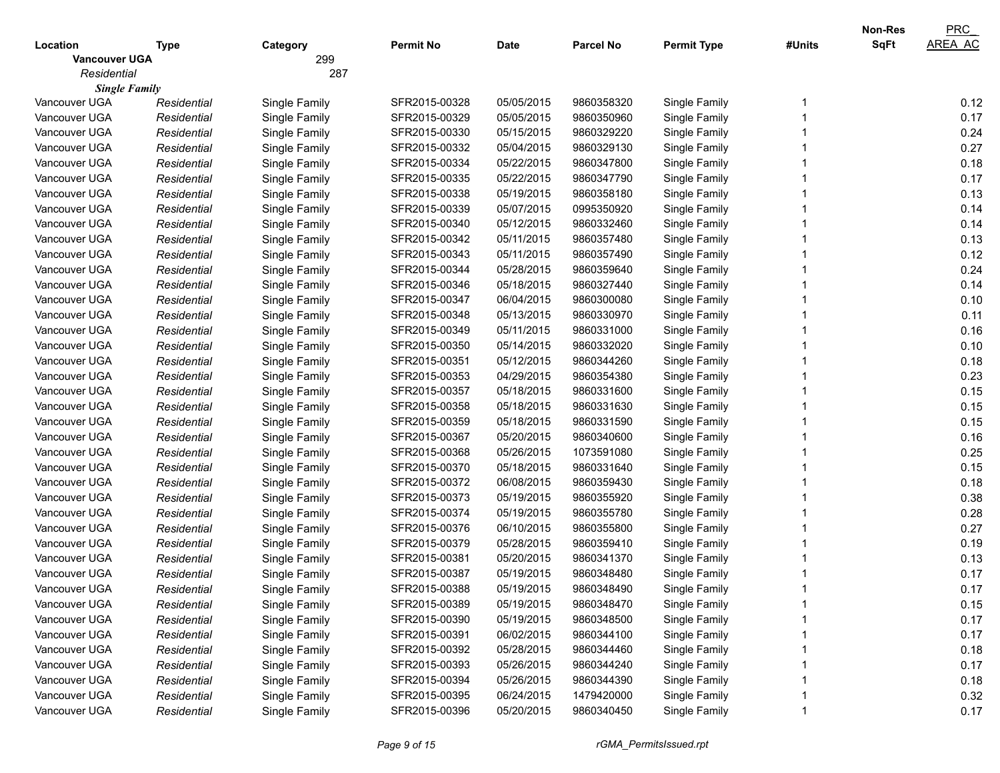| <b>SqFt</b><br><b>Parcel No</b><br>Location<br><b>Permit No</b><br><b>Date</b><br><b>Permit Type</b><br>#Units<br>Type<br>Category<br>299<br><b>Vancouver UGA</b><br>Residential<br>287<br><b>Single Family</b><br>Vancouver UGA<br>Single Family<br>SFR2015-00328<br>05/05/2015<br>9860358320<br>Single Family<br>Residential<br>Vancouver UGA<br>SFR2015-00329<br>05/05/2015<br>9860350960<br>Single Family<br>Residential<br>Single Family | <b>AREA AC</b><br>0.12<br>0.17<br>0.24<br>0.27<br>0.18<br>0.17<br>0.13 |
|-----------------------------------------------------------------------------------------------------------------------------------------------------------------------------------------------------------------------------------------------------------------------------------------------------------------------------------------------------------------------------------------------------------------------------------------------|------------------------------------------------------------------------|
|                                                                                                                                                                                                                                                                                                                                                                                                                                               |                                                                        |
|                                                                                                                                                                                                                                                                                                                                                                                                                                               |                                                                        |
|                                                                                                                                                                                                                                                                                                                                                                                                                                               |                                                                        |
|                                                                                                                                                                                                                                                                                                                                                                                                                                               |                                                                        |
|                                                                                                                                                                                                                                                                                                                                                                                                                                               |                                                                        |
|                                                                                                                                                                                                                                                                                                                                                                                                                                               |                                                                        |
| Vancouver UGA<br>Residential<br>Single Family<br>SFR2015-00330<br>05/15/2015<br>9860329220<br>Single Family                                                                                                                                                                                                                                                                                                                                   |                                                                        |
| Vancouver UGA<br>Residential<br>Single Family<br>SFR2015-00332<br>05/04/2015<br>9860329130<br>Single Family                                                                                                                                                                                                                                                                                                                                   |                                                                        |
| 05/22/2015<br>Vancouver UGA<br>Residential<br>Single Family<br>SFR2015-00334<br>9860347800<br>Single Family                                                                                                                                                                                                                                                                                                                                   |                                                                        |
| 05/22/2015<br>Vancouver UGA<br>Residential<br>Single Family<br>SFR2015-00335<br>9860347790<br>Single Family                                                                                                                                                                                                                                                                                                                                   |                                                                        |
| 05/19/2015<br>Vancouver UGA<br>Residential<br>Single Family<br>SFR2015-00338<br>9860358180<br>Single Family                                                                                                                                                                                                                                                                                                                                   |                                                                        |
| Vancouver UGA<br>Residential<br>Single Family<br>SFR2015-00339<br>05/07/2015<br>0995350920<br>Single Family                                                                                                                                                                                                                                                                                                                                   | 0.14                                                                   |
| Vancouver UGA<br>SFR2015-00340<br>05/12/2015<br>9860332460<br>Single Family<br>Residential<br>Single Family                                                                                                                                                                                                                                                                                                                                   | 0.14                                                                   |
| Vancouver UGA<br>SFR2015-00342<br>05/11/2015<br>9860357480<br>Single Family<br>Residential<br>Single Family                                                                                                                                                                                                                                                                                                                                   | 0.13                                                                   |
| Vancouver UGA<br>Residential<br>Single Family<br>SFR2015-00343<br>05/11/2015<br>9860357490<br>Single Family                                                                                                                                                                                                                                                                                                                                   | 0.12                                                                   |
| Vancouver UGA<br>Residential<br>Single Family<br>SFR2015-00344<br>05/28/2015<br>9860359640<br>Single Family                                                                                                                                                                                                                                                                                                                                   | 0.24                                                                   |
| 05/18/2015<br>Vancouver UGA<br>Residential<br>Single Family<br>SFR2015-00346<br>9860327440<br>Single Family                                                                                                                                                                                                                                                                                                                                   | 0.14                                                                   |
| 06/04/2015<br>Vancouver UGA<br>Residential<br>Single Family<br>SFR2015-00347<br>9860300080<br>Single Family                                                                                                                                                                                                                                                                                                                                   | 0.10                                                                   |
| 05/13/2015<br>Vancouver UGA<br>Residential<br>Single Family<br>SFR2015-00348<br>9860330970<br>Single Family                                                                                                                                                                                                                                                                                                                                   | 0.11                                                                   |
| 05/11/2015<br>Vancouver UGA<br>Residential<br>Single Family<br>SFR2015-00349<br>9860331000<br>Single Family                                                                                                                                                                                                                                                                                                                                   | 0.16                                                                   |
| Vancouver UGA<br>SFR2015-00350<br>05/14/2015<br>9860332020<br>Single Family<br>Residential<br>Single Family                                                                                                                                                                                                                                                                                                                                   | 0.10                                                                   |
| 05/12/2015<br>Vancouver UGA<br>Residential<br>Single Family<br>SFR2015-00351<br>9860344260<br>Single Family                                                                                                                                                                                                                                                                                                                                   | 0.18                                                                   |
| 04/29/2015<br>Vancouver UGA<br>Residential<br>Single Family<br>SFR2015-00353<br>9860354380<br>Single Family                                                                                                                                                                                                                                                                                                                                   | 0.23                                                                   |
| 05/18/2015<br>Vancouver UGA<br>Residential<br>Single Family<br>SFR2015-00357<br>9860331600<br>Single Family                                                                                                                                                                                                                                                                                                                                   | 0.15                                                                   |
| 05/18/2015<br>Vancouver UGA<br>Residential<br>Single Family<br>SFR2015-00358<br>9860331630<br>Single Family                                                                                                                                                                                                                                                                                                                                   | 0.15                                                                   |
| 05/18/2015<br>Vancouver UGA<br>Residential<br>Single Family<br>SFR2015-00359<br>9860331590<br>Single Family                                                                                                                                                                                                                                                                                                                                   | 0.15                                                                   |
| 05/20/2015<br>Vancouver UGA<br>Residential<br>Single Family<br>SFR2015-00367<br>9860340600<br>Single Family                                                                                                                                                                                                                                                                                                                                   | 0.16                                                                   |
| 05/26/2015<br>Vancouver UGA<br>SFR2015-00368<br>1073591080<br>Single Family<br>Residential<br>Single Family                                                                                                                                                                                                                                                                                                                                   | 0.25                                                                   |
| 05/18/2015<br>Vancouver UGA<br>SFR2015-00370<br>9860331640<br>Single Family<br>Residential<br>Single Family                                                                                                                                                                                                                                                                                                                                   | 0.15                                                                   |
| 06/08/2015<br>Vancouver UGA<br>Residential<br>Single Family<br>SFR2015-00372<br>9860359430<br>Single Family                                                                                                                                                                                                                                                                                                                                   | 0.18                                                                   |
| 05/19/2015<br>Vancouver UGA<br>Residential<br>Single Family<br>SFR2015-00373<br>9860355920<br>Single Family                                                                                                                                                                                                                                                                                                                                   | 0.38                                                                   |
| 05/19/2015<br>Vancouver UGA<br>Residential<br>Single Family<br>SFR2015-00374<br>9860355780<br>Single Family                                                                                                                                                                                                                                                                                                                                   | 0.28                                                                   |
| 06/10/2015<br>Vancouver UGA<br>Residential<br>Single Family<br>SFR2015-00376<br>9860355800<br>Single Family                                                                                                                                                                                                                                                                                                                                   | 0.27                                                                   |
| 05/28/2015<br>Residential<br>Single Family<br>SFR2015-00379<br>9860359410<br>Single Family<br>Vancouver UGA                                                                                                                                                                                                                                                                                                                                   | 0.19                                                                   |
| Residential<br>Single Family<br>SFR2015-00381<br>05/20/2015<br>9860341370<br>Single Family<br>Vancouver UGA                                                                                                                                                                                                                                                                                                                                   | 0.13                                                                   |
| 05/19/2015<br>Vancouver UGA<br>SFR2015-00387<br>9860348480<br>Single Family<br>Residential<br>Single Family                                                                                                                                                                                                                                                                                                                                   | 0.17                                                                   |
| Vancouver UGA<br>SFR2015-00388<br>05/19/2015<br>9860348490<br>Single Family<br>Residential<br>Single Family                                                                                                                                                                                                                                                                                                                                   | 0.17                                                                   |
| Single Family<br>SFR2015-00389<br>05/19/2015<br>9860348470<br>Single Family<br>Vancouver UGA<br>Residential                                                                                                                                                                                                                                                                                                                                   | 0.15                                                                   |
| Single Family<br>SFR2015-00390<br>05/19/2015<br>Single Family<br>Vancouver UGA<br>Residential<br>9860348500                                                                                                                                                                                                                                                                                                                                   | 0.17                                                                   |
| Single Family<br>06/02/2015<br>Single Family<br>Vancouver UGA<br>Residential<br>SFR2015-00391<br>9860344100                                                                                                                                                                                                                                                                                                                                   | 0.17                                                                   |
| Single Family<br>05/28/2015<br>Single Family<br>Vancouver UGA<br>Residential<br>SFR2015-00392<br>9860344460                                                                                                                                                                                                                                                                                                                                   | 0.18                                                                   |
| Single Family<br>05/26/2015<br>Single Family<br>Vancouver UGA<br>Residential<br>SFR2015-00393<br>9860344240                                                                                                                                                                                                                                                                                                                                   | 0.17                                                                   |
| 05/26/2015<br>Single Family<br>Vancouver UGA<br>Single Family<br>SFR2015-00394<br>9860344390<br>Residential                                                                                                                                                                                                                                                                                                                                   | 0.18                                                                   |
| Single Family<br>Vancouver UGA<br>Single Family<br>SFR2015-00395<br>06/24/2015<br>1479420000<br>Residential                                                                                                                                                                                                                                                                                                                                   | 0.32                                                                   |
| Vancouver UGA<br>Single Family<br>SFR2015-00396<br>Single Family<br>Residential<br>05/20/2015<br>9860340450                                                                                                                                                                                                                                                                                                                                   | 0.17                                                                   |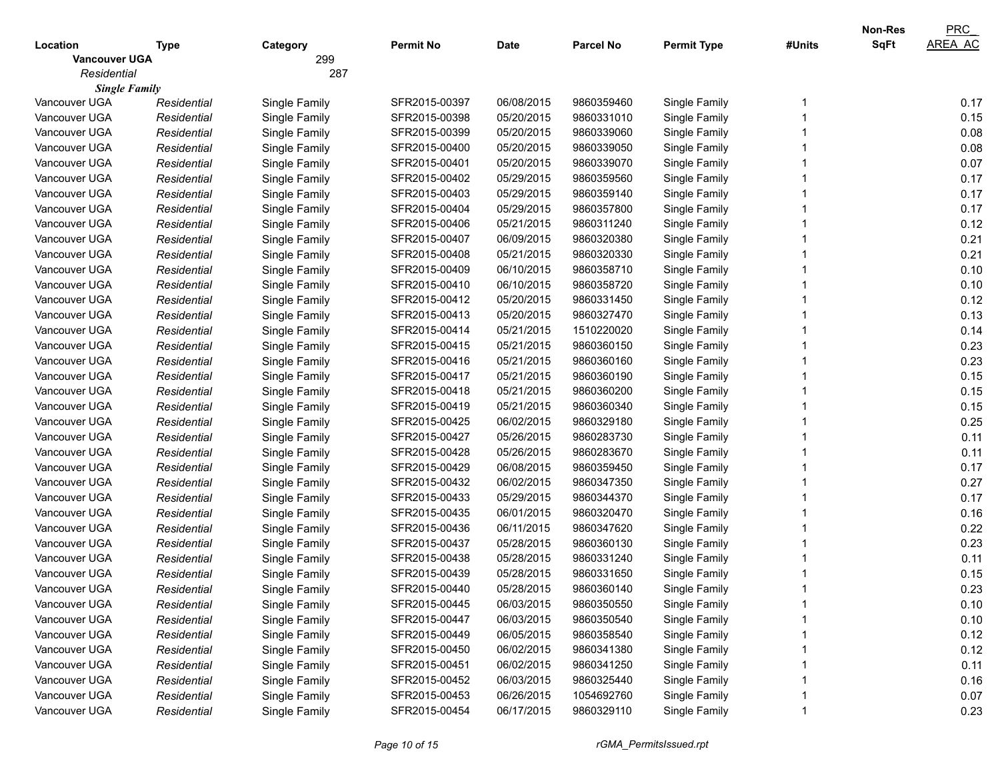|                      |             |               |                  |             |                  |                    |        | <b>Non-Res</b> | PRC            |
|----------------------|-------------|---------------|------------------|-------------|------------------|--------------------|--------|----------------|----------------|
| Location             | Type        | Category      | <b>Permit No</b> | <b>Date</b> | <b>Parcel No</b> | <b>Permit Type</b> | #Units | <b>SqFt</b>    | <b>AREA AC</b> |
| <b>Vancouver UGA</b> |             | 299           |                  |             |                  |                    |        |                |                |
| Residential          |             | 287           |                  |             |                  |                    |        |                |                |
| <b>Single Family</b> |             |               |                  |             |                  |                    |        |                |                |
| Vancouver UGA        | Residential | Single Family | SFR2015-00397    | 06/08/2015  | 9860359460       | Single Family      |        |                | 0.17           |
| Vancouver UGA        | Residential | Single Family | SFR2015-00398    | 05/20/2015  | 9860331010       | Single Family      |        |                | 0.15           |
| Vancouver UGA        | Residential | Single Family | SFR2015-00399    | 05/20/2015  | 9860339060       | Single Family      |        |                | 0.08           |
| Vancouver UGA        | Residential | Single Family | SFR2015-00400    | 05/20/2015  | 9860339050       | Single Family      |        |                | 0.08           |
| Vancouver UGA        | Residential | Single Family | SFR2015-00401    | 05/20/2015  | 9860339070       | Single Family      |        |                | 0.07           |
| Vancouver UGA        | Residential | Single Family | SFR2015-00402    | 05/29/2015  | 9860359560       | Single Family      |        |                | 0.17           |
| Vancouver UGA        | Residential | Single Family | SFR2015-00403    | 05/29/2015  | 9860359140       | Single Family      |        |                | 0.17           |
| Vancouver UGA        | Residential | Single Family | SFR2015-00404    | 05/29/2015  | 9860357800       | Single Family      |        |                | 0.17           |
| Vancouver UGA        | Residential | Single Family | SFR2015-00406    | 05/21/2015  | 9860311240       | Single Family      |        |                | 0.12           |
| Vancouver UGA        | Residential | Single Family | SFR2015-00407    | 06/09/2015  | 9860320380       | Single Family      |        |                | 0.21           |
| Vancouver UGA        | Residential | Single Family | SFR2015-00408    | 05/21/2015  | 9860320330       | Single Family      |        |                | 0.21           |
| Vancouver UGA        | Residential | Single Family | SFR2015-00409    | 06/10/2015  | 9860358710       | Single Family      |        |                | 0.10           |
| Vancouver UGA        | Residential | Single Family | SFR2015-00410    | 06/10/2015  | 9860358720       | Single Family      |        |                | 0.10           |
| Vancouver UGA        | Residential | Single Family | SFR2015-00412    | 05/20/2015  | 9860331450       | Single Family      |        |                | 0.12           |
| Vancouver UGA        | Residential | Single Family | SFR2015-00413    | 05/20/2015  | 9860327470       | Single Family      |        |                | 0.13           |
| Vancouver UGA        | Residential | Single Family | SFR2015-00414    | 05/21/2015  | 1510220020       | Single Family      |        |                | 0.14           |
| Vancouver UGA        | Residential | Single Family | SFR2015-00415    | 05/21/2015  | 9860360150       | Single Family      |        |                | 0.23           |
| Vancouver UGA        | Residential | Single Family | SFR2015-00416    | 05/21/2015  | 9860360160       | Single Family      |        |                | 0.23           |
| Vancouver UGA        | Residential | Single Family | SFR2015-00417    | 05/21/2015  | 9860360190       | Single Family      |        |                | 0.15           |
| Vancouver UGA        | Residential | Single Family | SFR2015-00418    | 05/21/2015  | 9860360200       | Single Family      |        |                | 0.15           |
| Vancouver UGA        | Residential | Single Family | SFR2015-00419    | 05/21/2015  | 9860360340       | Single Family      |        |                | 0.15           |
| Vancouver UGA        | Residential | Single Family | SFR2015-00425    | 06/02/2015  | 9860329180       | Single Family      |        |                | 0.25           |
| Vancouver UGA        | Residential | Single Family | SFR2015-00427    | 05/26/2015  | 9860283730       | Single Family      |        |                | 0.11           |
| Vancouver UGA        | Residential | Single Family | SFR2015-00428    | 05/26/2015  | 9860283670       | Single Family      |        |                | 0.11           |
| Vancouver UGA        | Residential | Single Family | SFR2015-00429    | 06/08/2015  | 9860359450       | Single Family      |        |                | 0.17           |
| Vancouver UGA        | Residential | Single Family | SFR2015-00432    | 06/02/2015  | 9860347350       | Single Family      |        |                | 0.27           |
| Vancouver UGA        | Residential | Single Family | SFR2015-00433    | 05/29/2015  | 9860344370       | Single Family      |        |                | 0.17           |
| Vancouver UGA        | Residential | Single Family | SFR2015-00435    | 06/01/2015  | 9860320470       | Single Family      |        |                | 0.16           |
| Vancouver UGA        | Residential | Single Family | SFR2015-00436    | 06/11/2015  | 9860347620       | Single Family      |        |                | 0.22           |
| Vancouver UGA        | Residential | Single Family | SFR2015-00437    | 05/28/2015  | 9860360130       | Single Family      |        |                | 0.23           |
| Vancouver UGA        | Residential | Single Family | SFR2015-00438    | 05/28/2015  | 9860331240       | Single Family      |        |                | 0.11           |
| Vancouver UGA        | Residential | Single Family | SFR2015-00439    | 05/28/2015  | 9860331650       | Single Family      |        |                | 0.15           |
| Vancouver UGA        | Residential | Single Family | SFR2015-00440    | 05/28/2015  | 9860360140       | Single Family      |        |                | 0.23           |
| Vancouver UGA        | Residential | Single Family | SFR2015-00445    | 06/03/2015  | 9860350550       | Single Family      |        |                | 0.10           |
| Vancouver UGA        | Residential | Single Family | SFR2015-00447    | 06/03/2015  | 9860350540       | Single Family      |        |                | 0.10           |
| Vancouver UGA        | Residential | Single Family | SFR2015-00449    | 06/05/2015  | 9860358540       | Single Family      |        |                | 0.12           |
| Vancouver UGA        | Residential | Single Family | SFR2015-00450    | 06/02/2015  | 9860341380       | Single Family      |        |                | 0.12           |
| Vancouver UGA        | Residential | Single Family | SFR2015-00451    | 06/02/2015  | 9860341250       | Single Family      |        |                | 0.11           |
| Vancouver UGA        | Residential | Single Family | SFR2015-00452    | 06/03/2015  | 9860325440       | Single Family      |        |                | 0.16           |
| Vancouver UGA        | Residential | Single Family | SFR2015-00453    | 06/26/2015  | 1054692760       | Single Family      |        |                | 0.07           |
| Vancouver UGA        | Residential | Single Family | SFR2015-00454    | 06/17/2015  | 9860329110       | Single Family      |        |                | 0.23           |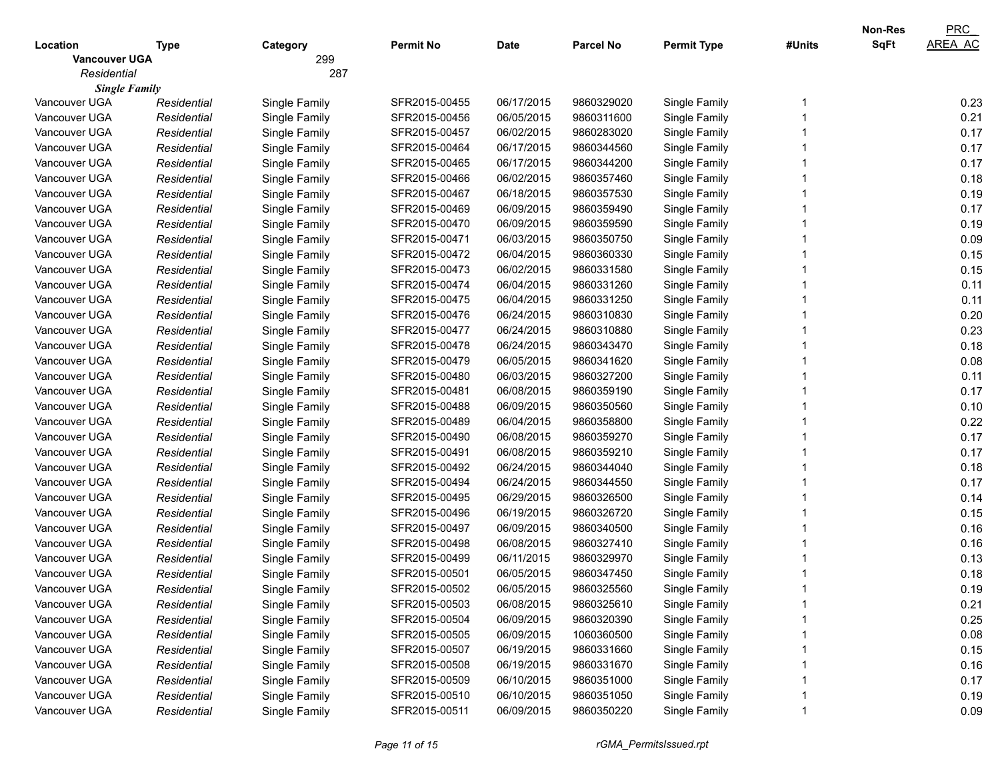|                      |             |               |                  |            |                  |                    |        | Non-Res     | PRC            |
|----------------------|-------------|---------------|------------------|------------|------------------|--------------------|--------|-------------|----------------|
| Location             | <b>Type</b> | Category      | <b>Permit No</b> | Date       | <b>Parcel No</b> | <b>Permit Type</b> | #Units | <b>SqFt</b> | <b>AREA AC</b> |
| <b>Vancouver UGA</b> |             | 299           |                  |            |                  |                    |        |             |                |
| Residential          |             | 287           |                  |            |                  |                    |        |             |                |
| <b>Single Family</b> |             |               |                  |            |                  |                    |        |             |                |
| Vancouver UGA        | Residential | Single Family | SFR2015-00455    | 06/17/2015 | 9860329020       | Single Family      |        |             | 0.23           |
| Vancouver UGA        | Residential | Single Family | SFR2015-00456    | 06/05/2015 | 9860311600       | Single Family      |        |             | 0.21           |
| Vancouver UGA        | Residential | Single Family | SFR2015-00457    | 06/02/2015 | 9860283020       | Single Family      |        |             | 0.17           |
| Vancouver UGA        | Residential | Single Family | SFR2015-00464    | 06/17/2015 | 9860344560       | Single Family      |        |             | 0.17           |
| Vancouver UGA        | Residential | Single Family | SFR2015-00465    | 06/17/2015 | 9860344200       | Single Family      |        |             | 0.17           |
| Vancouver UGA        | Residential | Single Family | SFR2015-00466    | 06/02/2015 | 9860357460       | Single Family      |        |             | 0.18           |
| Vancouver UGA        | Residential | Single Family | SFR2015-00467    | 06/18/2015 | 9860357530       | Single Family      |        |             | 0.19           |
| Vancouver UGA        | Residential | Single Family | SFR2015-00469    | 06/09/2015 | 9860359490       | Single Family      |        |             | 0.17           |
| Vancouver UGA        | Residential | Single Family | SFR2015-00470    | 06/09/2015 | 9860359590       | Single Family      |        |             | 0.19           |
| Vancouver UGA        | Residential | Single Family | SFR2015-00471    | 06/03/2015 | 9860350750       | Single Family      |        |             | 0.09           |
| Vancouver UGA        | Residential | Single Family | SFR2015-00472    | 06/04/2015 | 9860360330       | Single Family      |        |             | 0.15           |
| Vancouver UGA        | Residential | Single Family | SFR2015-00473    | 06/02/2015 | 9860331580       | Single Family      |        |             | 0.15           |
| Vancouver UGA        | Residential | Single Family | SFR2015-00474    | 06/04/2015 | 9860331260       | Single Family      |        |             | 0.11           |
| Vancouver UGA        | Residential | Single Family | SFR2015-00475    | 06/04/2015 | 9860331250       | Single Family      |        |             | 0.11           |
| Vancouver UGA        | Residential | Single Family | SFR2015-00476    | 06/24/2015 | 9860310830       | Single Family      |        |             | 0.20           |
| Vancouver UGA        | Residential | Single Family | SFR2015-00477    | 06/24/2015 | 9860310880       | Single Family      |        |             | 0.23           |
| Vancouver UGA        | Residential | Single Family | SFR2015-00478    | 06/24/2015 | 9860343470       | Single Family      |        |             | 0.18           |
| Vancouver UGA        | Residential | Single Family | SFR2015-00479    | 06/05/2015 | 9860341620       | Single Family      |        |             | 0.08           |
| Vancouver UGA        | Residential | Single Family | SFR2015-00480    | 06/03/2015 | 9860327200       | Single Family      |        |             | 0.11           |
| Vancouver UGA        | Residential | Single Family | SFR2015-00481    | 06/08/2015 | 9860359190       | Single Family      |        |             | 0.17           |
| Vancouver UGA        | Residential | Single Family | SFR2015-00488    | 06/09/2015 | 9860350560       | Single Family      |        |             | 0.10           |
| Vancouver UGA        | Residential | Single Family | SFR2015-00489    | 06/04/2015 | 9860358800       | Single Family      |        |             | 0.22           |
| Vancouver UGA        | Residential | Single Family | SFR2015-00490    | 06/08/2015 | 9860359270       | Single Family      |        |             | 0.17           |
| Vancouver UGA        | Residential | Single Family | SFR2015-00491    | 06/08/2015 | 9860359210       | Single Family      |        |             | 0.17           |
| Vancouver UGA        | Residential | Single Family | SFR2015-00492    | 06/24/2015 | 9860344040       | Single Family      |        |             | 0.18           |
| Vancouver UGA        | Residential | Single Family | SFR2015-00494    | 06/24/2015 | 9860344550       | Single Family      |        |             | 0.17           |
| Vancouver UGA        | Residential | Single Family | SFR2015-00495    | 06/29/2015 | 9860326500       | Single Family      |        |             | 0.14           |
| Vancouver UGA        | Residential | Single Family | SFR2015-00496    | 06/19/2015 | 9860326720       | Single Family      |        |             | 0.15           |
| Vancouver UGA        | Residential | Single Family | SFR2015-00497    | 06/09/2015 | 9860340500       | Single Family      |        |             | 0.16           |
| Vancouver UGA        | Residential | Single Family | SFR2015-00498    | 06/08/2015 | 9860327410       | Single Family      |        |             | 0.16           |
| Vancouver UGA        | Residential | Single Family | SFR2015-00499    | 06/11/2015 | 9860329970       | Single Family      |        |             | 0.13           |
| Vancouver UGA        | Residential | Single Family | SFR2015-00501    | 06/05/2015 | 9860347450       | Single Family      |        |             | 0.18           |
| Vancouver UGA        | Residential | Single Family | SFR2015-00502    | 06/05/2015 | 9860325560       | Single Family      |        |             | 0.19           |
| Vancouver UGA        | Residential | Single Family | SFR2015-00503    | 06/08/2015 | 9860325610       | Single Family      |        |             | 0.21           |
| Vancouver UGA        | Residential | Single Family | SFR2015-00504    | 06/09/2015 | 9860320390       | Single Family      |        |             | 0.25           |
| Vancouver UGA        | Residential | Single Family | SFR2015-00505    | 06/09/2015 | 1060360500       | Single Family      |        |             | 0.08           |
| Vancouver UGA        | Residential | Single Family | SFR2015-00507    | 06/19/2015 | 9860331660       | Single Family      |        |             | 0.15           |
| Vancouver UGA        | Residential | Single Family | SFR2015-00508    | 06/19/2015 | 9860331670       | Single Family      |        |             | 0.16           |
| Vancouver UGA        | Residential | Single Family | SFR2015-00509    | 06/10/2015 | 9860351000       | Single Family      |        |             | 0.17           |
| Vancouver UGA        | Residential | Single Family | SFR2015-00510    | 06/10/2015 | 9860351050       | Single Family      |        |             | 0.19           |
| Vancouver UGA        | Residential | Single Family | SFR2015-00511    | 06/09/2015 | 9860350220       | Single Family      |        |             | 0.09           |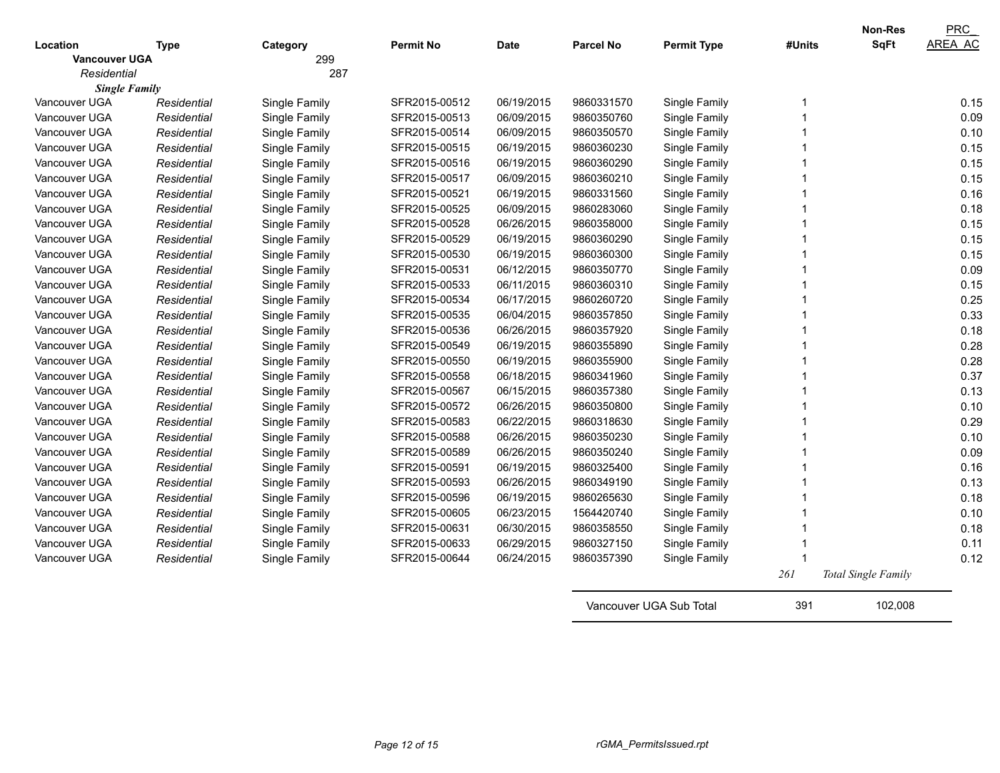|                                  |             |                 |                  |             |                  |                    |        | Non-Res             | <b>PRC</b><br>AREA AC |
|----------------------------------|-------------|-----------------|------------------|-------------|------------------|--------------------|--------|---------------------|-----------------------|
| Location<br><b>Vancouver UGA</b> | <b>Type</b> | Category<br>299 | <b>Permit No</b> | <b>Date</b> | <b>Parcel No</b> | <b>Permit Type</b> | #Units | <b>SqFt</b>         |                       |
| Residential                      |             | 287             |                  |             |                  |                    |        |                     |                       |
| <b>Single Family</b>             |             |                 |                  |             |                  |                    |        |                     |                       |
| Vancouver UGA                    | Residential | Single Family   | SFR2015-00512    | 06/19/2015  | 9860331570       | Single Family      | 1      |                     | 0.15                  |
| Vancouver UGA                    | Residential | Single Family   | SFR2015-00513    | 06/09/2015  | 9860350760       | Single Family      |        |                     | 0.09                  |
| Vancouver UGA                    | Residential | Single Family   | SFR2015-00514    | 06/09/2015  | 9860350570       | Single Family      |        |                     | 0.10                  |
| Vancouver UGA                    | Residential | Single Family   | SFR2015-00515    | 06/19/2015  | 9860360230       | Single Family      |        |                     | 0.15                  |
| Vancouver UGA                    | Residential | Single Family   | SFR2015-00516    | 06/19/2015  | 9860360290       | Single Family      |        |                     | 0.15                  |
| Vancouver UGA                    | Residential | Single Family   | SFR2015-00517    | 06/09/2015  | 9860360210       | Single Family      |        |                     | 0.15                  |
| Vancouver UGA                    | Residential | Single Family   | SFR2015-00521    | 06/19/2015  | 9860331560       | Single Family      |        |                     | 0.16                  |
| Vancouver UGA                    | Residential | Single Family   | SFR2015-00525    | 06/09/2015  | 9860283060       | Single Family      |        |                     | 0.18                  |
| Vancouver UGA                    | Residential | Single Family   | SFR2015-00528    | 06/26/2015  | 9860358000       | Single Family      |        |                     | 0.15                  |
| Vancouver UGA                    | Residential | Single Family   | SFR2015-00529    | 06/19/2015  | 9860360290       | Single Family      |        |                     | 0.15                  |
| Vancouver UGA                    | Residential | Single Family   | SFR2015-00530    | 06/19/2015  | 9860360300       | Single Family      |        |                     | 0.15                  |
| Vancouver UGA                    | Residential | Single Family   | SFR2015-00531    | 06/12/2015  | 9860350770       | Single Family      |        |                     | 0.09                  |
| Vancouver UGA                    | Residential | Single Family   | SFR2015-00533    | 06/11/2015  | 9860360310       | Single Family      |        |                     | 0.15                  |
| Vancouver UGA                    | Residential | Single Family   | SFR2015-00534    | 06/17/2015  | 9860260720       | Single Family      |        |                     | 0.25                  |
| Vancouver UGA                    | Residential | Single Family   | SFR2015-00535    | 06/04/2015  | 9860357850       | Single Family      |        |                     | 0.33                  |
| Vancouver UGA                    | Residential | Single Family   | SFR2015-00536    | 06/26/2015  | 9860357920       | Single Family      |        |                     | 0.18                  |
| Vancouver UGA                    | Residential | Single Family   | SFR2015-00549    | 06/19/2015  | 9860355890       | Single Family      |        |                     | 0.28                  |
| Vancouver UGA                    | Residential | Single Family   | SFR2015-00550    | 06/19/2015  | 9860355900       | Single Family      |        |                     | 0.28                  |
| Vancouver UGA                    | Residential | Single Family   | SFR2015-00558    | 06/18/2015  | 9860341960       | Single Family      |        |                     | 0.37                  |
| Vancouver UGA                    | Residential | Single Family   | SFR2015-00567    | 06/15/2015  | 9860357380       | Single Family      |        |                     | 0.13                  |
| Vancouver UGA                    | Residential | Single Family   | SFR2015-00572    | 06/26/2015  | 9860350800       | Single Family      |        |                     | 0.10                  |
| Vancouver UGA                    | Residential | Single Family   | SFR2015-00583    | 06/22/2015  | 9860318630       | Single Family      |        |                     | 0.29                  |
| Vancouver UGA                    | Residential | Single Family   | SFR2015-00588    | 06/26/2015  | 9860350230       | Single Family      |        |                     | 0.10                  |
| Vancouver UGA                    | Residential | Single Family   | SFR2015-00589    | 06/26/2015  | 9860350240       | Single Family      |        |                     | 0.09                  |
| Vancouver UGA                    | Residential | Single Family   | SFR2015-00591    | 06/19/2015  | 9860325400       | Single Family      |        |                     | 0.16                  |
| Vancouver UGA                    | Residential | Single Family   | SFR2015-00593    | 06/26/2015  | 9860349190       | Single Family      |        |                     | 0.13                  |
| Vancouver UGA                    | Residential | Single Family   | SFR2015-00596    | 06/19/2015  | 9860265630       | Single Family      |        |                     | 0.18                  |
| Vancouver UGA                    | Residential | Single Family   | SFR2015-00605    | 06/23/2015  | 1564420740       | Single Family      |        |                     | 0.10                  |
| Vancouver UGA                    | Residential | Single Family   | SFR2015-00631    | 06/30/2015  | 9860358550       | Single Family      |        |                     | 0.18                  |
| Vancouver UGA                    | Residential | Single Family   | SFR2015-00633    | 06/29/2015  | 9860327150       | Single Family      |        |                     | 0.11                  |
| Vancouver UGA                    | Residential | Single Family   | SFR2015-00644    | 06/24/2015  | 9860357390       | Single Family      |        |                     | 0.12                  |
|                                  |             |                 |                  |             |                  |                    | 261    | Total Single Family |                       |

Vancouver UGA Sub Total 391 102,008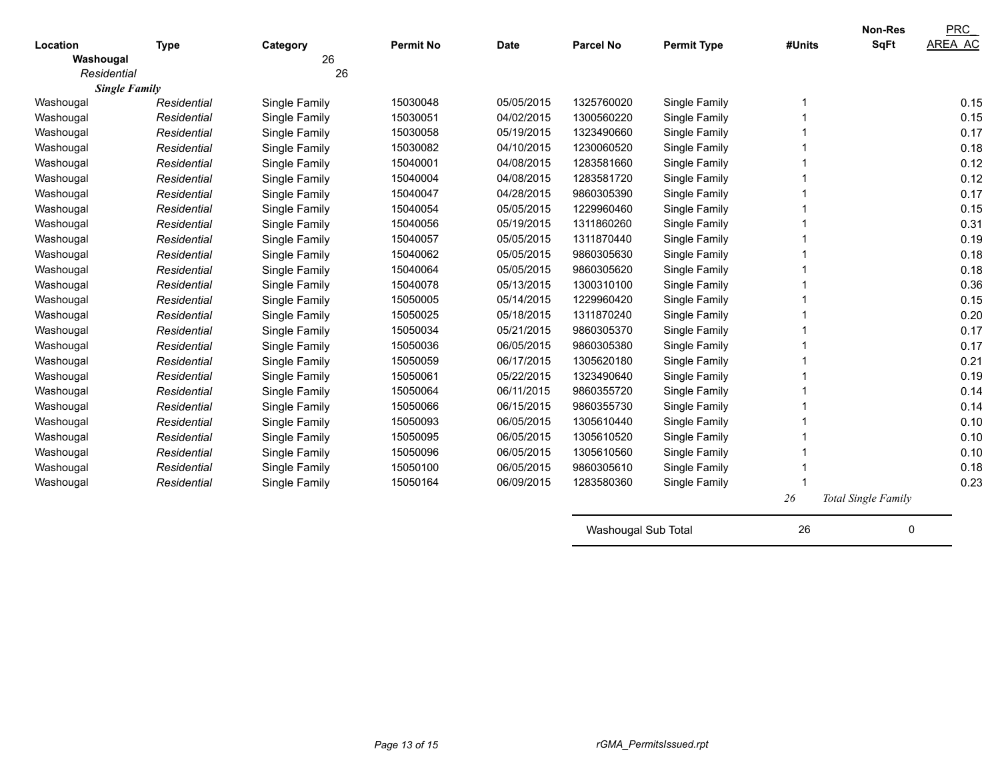| Location             |             |                | <b>Permit No</b> | <b>Date</b> | <b>Parcel No</b>    |                    | #Units | <b>Non-Res</b><br><b>SqFt</b> | <b>PRC</b><br>AREA AC |
|----------------------|-------------|----------------|------------------|-------------|---------------------|--------------------|--------|-------------------------------|-----------------------|
| Washougal            | <b>Type</b> | Category<br>26 |                  |             |                     | <b>Permit Type</b> |        |                               |                       |
| Residential          |             | 26             |                  |             |                     |                    |        |                               |                       |
| <b>Single Family</b> |             |                |                  |             |                     |                    |        |                               |                       |
| Washougal            | Residential | Single Family  | 15030048         | 05/05/2015  | 1325760020          | Single Family      |        |                               | 0.15                  |
| Washougal            | Residential | Single Family  | 15030051         | 04/02/2015  | 1300560220          | Single Family      |        |                               | 0.15                  |
| Washougal            | Residential | Single Family  | 15030058         | 05/19/2015  | 1323490660          | Single Family      |        |                               | 0.17                  |
| Washougal            | Residential | Single Family  | 15030082         | 04/10/2015  | 1230060520          | Single Family      |        |                               | 0.18                  |
| Washougal            | Residential | Single Family  | 15040001         | 04/08/2015  | 1283581660          | Single Family      |        |                               | 0.12                  |
| Washougal            | Residential | Single Family  | 15040004         | 04/08/2015  | 1283581720          | Single Family      |        |                               | 0.12                  |
| Washougal            | Residential | Single Family  | 15040047         | 04/28/2015  | 9860305390          | Single Family      |        |                               | 0.17                  |
| Washougal            | Residential | Single Family  | 15040054         | 05/05/2015  | 1229960460          | Single Family      |        |                               | 0.15                  |
| Washougal            | Residential | Single Family  | 15040056         | 05/19/2015  | 1311860260          | Single Family      |        |                               | 0.31                  |
| Washougal            | Residential | Single Family  | 15040057         | 05/05/2015  | 1311870440          | Single Family      |        |                               | 0.19                  |
| Washougal            | Residential | Single Family  | 15040062         | 05/05/2015  | 9860305630          | Single Family      |        |                               | 0.18                  |
| Washougal            | Residential | Single Family  | 15040064         | 05/05/2015  | 9860305620          | Single Family      |        |                               | 0.18                  |
| Washougal            | Residential | Single Family  | 15040078         | 05/13/2015  | 1300310100          | Single Family      |        |                               | 0.36                  |
| Washougal            | Residential | Single Family  | 15050005         | 05/14/2015  | 1229960420          | Single Family      |        |                               | 0.15                  |
| Washougal            | Residential | Single Family  | 15050025         | 05/18/2015  | 1311870240          | Single Family      |        |                               | 0.20                  |
| Washougal            | Residential | Single Family  | 15050034         | 05/21/2015  | 9860305370          | Single Family      |        |                               | 0.17                  |
| Washougal            | Residential | Single Family  | 15050036         | 06/05/2015  | 9860305380          | Single Family      |        |                               | 0.17                  |
| Washougal            | Residential | Single Family  | 15050059         | 06/17/2015  | 1305620180          | Single Family      |        |                               | 0.21                  |
| Washougal            | Residential | Single Family  | 15050061         | 05/22/2015  | 1323490640          | Single Family      |        |                               | 0.19                  |
| Washougal            | Residential | Single Family  | 15050064         | 06/11/2015  | 9860355720          | Single Family      |        |                               | 0.14                  |
| Washougal            | Residential | Single Family  | 15050066         | 06/15/2015  | 9860355730          | Single Family      |        |                               | 0.14                  |
| Washougal            | Residential | Single Family  | 15050093         | 06/05/2015  | 1305610440          | Single Family      |        |                               | 0.10                  |
| Washougal            | Residential | Single Family  | 15050095         | 06/05/2015  | 1305610520          | Single Family      |        |                               | 0.10                  |
| Washougal            | Residential | Single Family  | 15050096         | 06/05/2015  | 1305610560          | Single Family      |        |                               | 0.10                  |
| Washougal            | Residential | Single Family  | 15050100         | 06/05/2015  | 9860305610          | Single Family      |        |                               | 0.18                  |
| Washougal            | Residential | Single Family  | 15050164         | 06/09/2015  | 1283580360          | Single Family      |        |                               | 0.23                  |
|                      |             |                |                  |             |                     |                    | 26     | Total Single Family           |                       |
|                      |             |                |                  |             | Washougal Sub Total |                    | 26     | 0                             |                       |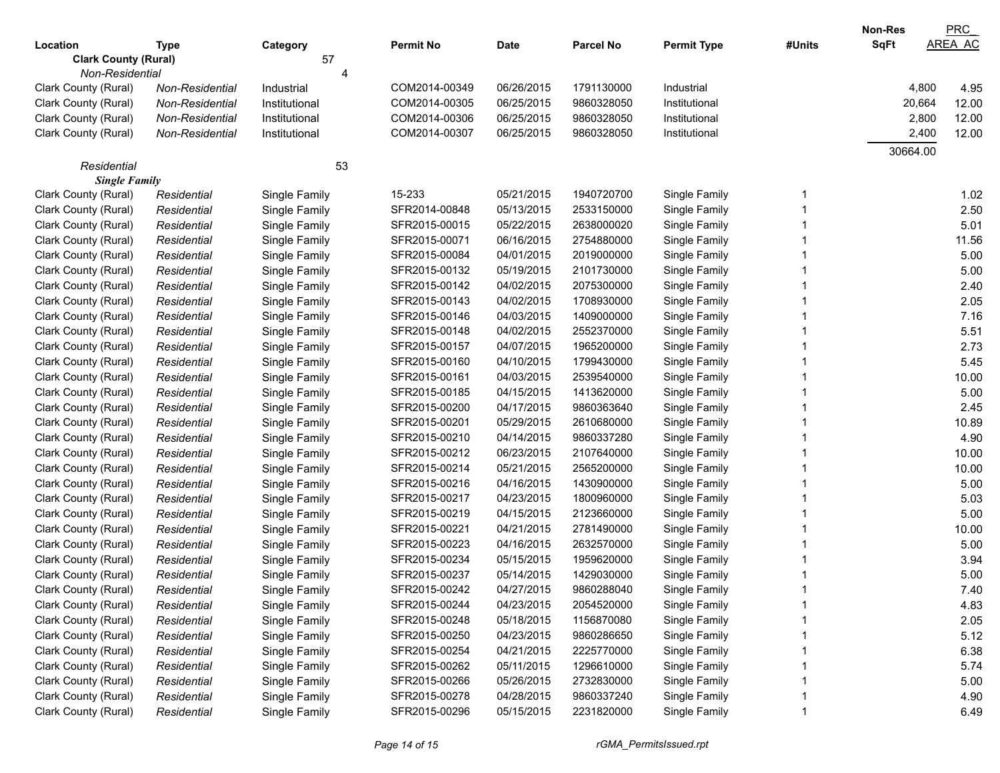|                             |                 |               |                  |             |                  |                    |        | Non-Res     | PRC            |
|-----------------------------|-----------------|---------------|------------------|-------------|------------------|--------------------|--------|-------------|----------------|
| Location                    | Type            | Category      | <b>Permit No</b> | <b>Date</b> | <b>Parcel No</b> | <b>Permit Type</b> | #Units | <b>SqFt</b> | <b>AREA AC</b> |
| <b>Clark County (Rural)</b> |                 | 57            |                  |             |                  |                    |        |             |                |
| Non-Residential             |                 |               |                  |             |                  |                    |        |             |                |
| Clark County (Rural)        | Non-Residential | Industrial    | COM2014-00349    | 06/26/2015  | 1791130000       | Industrial         |        | 4,800       | 4.95           |
| Clark County (Rural)        | Non-Residential | Institutional | COM2014-00305    | 06/25/2015  | 9860328050       | Institutional      |        | 20,664      | 12.00          |
| Clark County (Rural)        | Non-Residential | Institutional | COM2014-00306    | 06/25/2015  | 9860328050       | Institutional      |        | 2,800       | 12.00          |
| Clark County (Rural)        | Non-Residential | Institutional | COM2014-00307    | 06/25/2015  | 9860328050       | Institutional      |        | 2,400       | 12.00          |
|                             |                 |               |                  |             |                  |                    |        | 30664.00    |                |
| Residential                 |                 | 53            |                  |             |                  |                    |        |             |                |
| <b>Single Family</b>        |                 |               |                  |             |                  |                    |        |             |                |
| Clark County (Rural)        | Residential     | Single Family | 15-233           | 05/21/2015  | 1940720700       | Single Family      |        |             | 1.02           |
| Clark County (Rural)        | Residential     | Single Family | SFR2014-00848    | 05/13/2015  | 2533150000       | Single Family      |        |             | 2.50           |
| Clark County (Rural)        | Residential     | Single Family | SFR2015-00015    | 05/22/2015  | 2638000020       | Single Family      |        |             | 5.01           |
| Clark County (Rural)        | Residential     | Single Family | SFR2015-00071    | 06/16/2015  | 2754880000       | Single Family      |        |             | 11.56          |
| Clark County (Rural)        | Residential     | Single Family | SFR2015-00084    | 04/01/2015  | 2019000000       | Single Family      |        |             | 5.00           |
| Clark County (Rural)        | Residential     | Single Family | SFR2015-00132    | 05/19/2015  | 2101730000       | Single Family      |        |             | 5.00           |
| Clark County (Rural)        | Residential     | Single Family | SFR2015-00142    | 04/02/2015  | 2075300000       | Single Family      |        |             | 2.40           |
| Clark County (Rural)        | Residential     | Single Family | SFR2015-00143    | 04/02/2015  | 1708930000       | Single Family      |        |             | 2.05           |
| Clark County (Rural)        | Residential     | Single Family | SFR2015-00146    | 04/03/2015  | 1409000000       | Single Family      |        |             | 7.16           |
| Clark County (Rural)        | Residential     | Single Family | SFR2015-00148    | 04/02/2015  | 2552370000       | Single Family      |        |             | 5.51           |
| Clark County (Rural)        | Residential     | Single Family | SFR2015-00157    | 04/07/2015  | 1965200000       | Single Family      |        |             | 2.73           |
| Clark County (Rural)        | Residential     | Single Family | SFR2015-00160    | 04/10/2015  | 1799430000       | Single Family      |        |             | 5.45           |
| Clark County (Rural)        | Residential     | Single Family | SFR2015-00161    | 04/03/2015  | 2539540000       | Single Family      |        |             | 10.00          |
| Clark County (Rural)        | Residential     | Single Family | SFR2015-00185    | 04/15/2015  | 1413620000       | Single Family      |        |             | 5.00           |
| Clark County (Rural)        | Residential     | Single Family | SFR2015-00200    | 04/17/2015  | 9860363640       | Single Family      |        |             | 2.45           |
| Clark County (Rural)        | Residential     | Single Family | SFR2015-00201    | 05/29/2015  | 2610680000       | Single Family      |        |             | 10.89          |
| Clark County (Rural)        | Residential     | Single Family | SFR2015-00210    | 04/14/2015  | 9860337280       | Single Family      |        |             | 4.90           |
| Clark County (Rural)        | Residential     | Single Family | SFR2015-00212    | 06/23/2015  | 2107640000       | Single Family      |        |             | 10.00          |
| Clark County (Rural)        | Residential     | Single Family | SFR2015-00214    | 05/21/2015  | 2565200000       | Single Family      |        |             | 10.00          |
| Clark County (Rural)        | Residential     | Single Family | SFR2015-00216    | 04/16/2015  | 1430900000       | Single Family      |        |             | 5.00           |
| Clark County (Rural)        | Residential     | Single Family | SFR2015-00217    | 04/23/2015  | 1800960000       | Single Family      |        |             | 5.03           |
| Clark County (Rural)        | Residential     | Single Family | SFR2015-00219    | 04/15/2015  | 2123660000       | Single Family      |        |             | 5.00           |
| Clark County (Rural)        | Residential     | Single Family | SFR2015-00221    | 04/21/2015  | 2781490000       | Single Family      |        |             | 10.00          |
| Clark County (Rural)        | Residential     | Single Family | SFR2015-00223    | 04/16/2015  | 2632570000       | Single Family      |        |             | 5.00           |
| Clark County (Rural)        | Residential     | Single Family | SFR2015-00234    | 05/15/2015  | 1959620000       | Single Family      |        |             | 3.94           |
| Clark County (Rural)        | Residential     | Single Family | SFR2015-00237    | 05/14/2015  | 1429030000       | Single Family      |        |             | 5.00           |
| Clark County (Rural)        | Residential     | Single Family | SFR2015-00242    | 04/27/2015  | 9860288040       | Single Family      |        |             | 7.40           |
| Clark County (Rural)        | Residential     | Single Family | SFR2015-00244    | 04/23/2015  | 2054520000       | Single Family      |        |             | 4.83           |
| Clark County (Rural)        | Residential     | Single Family | SFR2015-00248    | 05/18/2015  | 1156870080       | Single Family      |        |             | 2.05           |
| Clark County (Rural)        | Residential     | Single Family | SFR2015-00250    | 04/23/2015  | 9860286650       | Single Family      |        |             | 5.12           |
| Clark County (Rural)        | Residential     | Single Family | SFR2015-00254    | 04/21/2015  | 2225770000       | Single Family      |        |             | 6.38           |
| Clark County (Rural)        | Residential     | Single Family | SFR2015-00262    | 05/11/2015  | 1296610000       | Single Family      |        |             | 5.74           |
| Clark County (Rural)        | Residential     | Single Family | SFR2015-00266    | 05/26/2015  | 2732830000       | Single Family      |        |             | 5.00           |
| Clark County (Rural)        | Residential     | Single Family | SFR2015-00278    | 04/28/2015  | 9860337240       | Single Family      |        |             | 4.90           |
| Clark County (Rural)        | Residential     | Single Family | SFR2015-00296    | 05/15/2015  | 2231820000       | Single Family      |        |             | 6.49           |